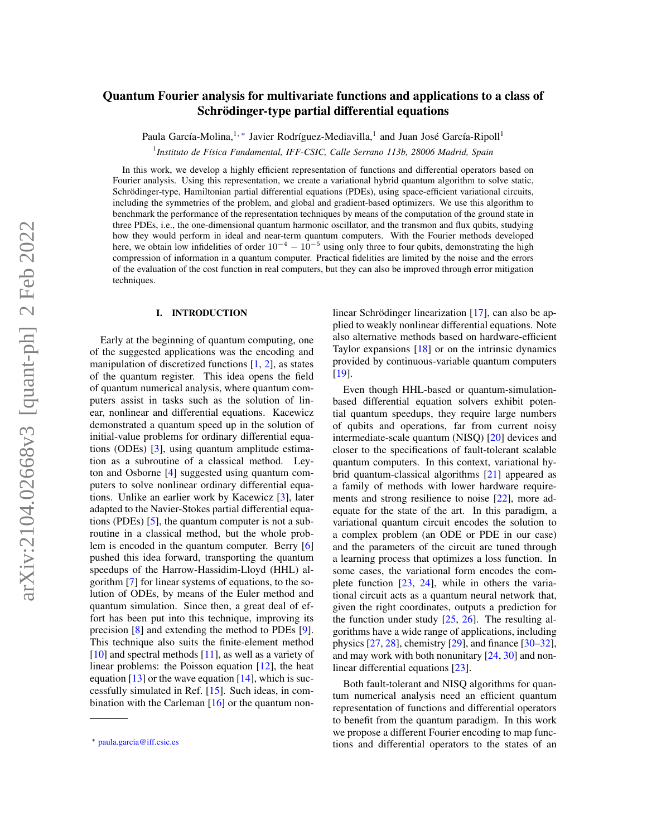# arXiv:2104.02668v3 [quant-ph] 2 Feb 2022 arXiv:2104.02668v3 [quant-ph] 2 Feb 2022

# Quantum Fourier analysis for multivariate functions and applications to a class of Schrödinger-type partial differential equations

Paula García-Molina,<sup>1,\*</sup> Javier Rodríguez-Mediavilla,<sup>1</sup> and Juan José García-Ripoll<sup>1</sup>

1 *Instituto de Física Fundamental, IFF-CSIC, Calle Serrano 113b, 28006 Madrid, Spain*

In this work, we develop a highly efficient representation of functions and differential operators based on Fourier analysis. Using this representation, we create a variational hybrid quantum algorithm to solve static, Schrödinger-type, Hamiltonian partial differential equations (PDEs), using space-efficient variational circuits, including the symmetries of the problem, and global and gradient-based optimizers. We use this algorithm to benchmark the performance of the representation techniques by means of the computation of the ground state in three PDEs, i.e., the one-dimensional quantum harmonic oscillator, and the transmon and flux qubits, studying how they would perform in ideal and near-term quantum computers. With the Fourier methods developed here, we obtain low infidelities of order  $10^{-4} - 10^{-5}$  using only three to four qubits, demonstrating the high compression of information in a quantum computer. Practical fidelities are limited by the noise and the errors of the evaluation of the cost function in real computers, but they can also be improved through error mitigation techniques.

# I. INTRODUCTION

Early at the beginning of quantum computing, one of the suggested applications was the encoding and manipulation of discretized functions  $[1, 2]$  $[1, 2]$  $[1, 2]$ , as states of the quantum register. This idea opens the field of quantum numerical analysis, where quantum computers assist in tasks such as the solution of linear, nonlinear and differential equations. Kacewicz demonstrated a quantum speed up in the solution of initial-value problems for ordinary differential equations (ODEs) [\[3\]](#page-19-2), using quantum amplitude estimation as a subroutine of a classical method. Leyton and Osborne [\[4\]](#page-19-3) suggested using quantum computers to solve nonlinear ordinary differential equations. Unlike an earlier work by Kacewicz [\[3\]](#page-19-2), later adapted to the Navier-Stokes partial differential equations (PDEs) [\[5\]](#page-19-4), the quantum computer is not a subroutine in a classical method, but the whole problem is encoded in the quantum computer. Berry [\[6\]](#page-19-5) pushed this idea forward, transporting the quantum speedups of the Harrow-Hassidim-Lloyd (HHL) algorithm [\[7\]](#page-19-6) for linear systems of equations, to the solution of ODEs, by means of the Euler method and quantum simulation. Since then, a great deal of effort has been put into this technique, improving its precision [\[8\]](#page-19-7) and extending the method to PDEs [\[9\]](#page-19-8). This technique also suits the finite-element method  $[10]$  and spectral methods  $[11]$ , as well as a variety of linear problems: the Poisson equation [\[12\]](#page-19-11), the heat equation  $[13]$  or the wave equation  $[14]$ , which is successfully simulated in Ref. [\[15\]](#page-19-14). Such ideas, in combination with the Carleman  $[16]$  or the quantum nonlinear Schrödinger linearization [\[17\]](#page-20-0), can also be applied to weakly nonlinear differential equations. Note also alternative methods based on hardware-efficient Taylor expansions [\[18\]](#page-20-1) or on the intrinsic dynamics provided by continuous-variable quantum computers [\[19\]](#page-20-2).

Even though HHL-based or quantum-simulationbased differential equation solvers exhibit potential quantum speedups, they require large numbers of qubits and operations, far from current noisy intermediate-scale quantum (NISQ) [\[20\]](#page-20-3) devices and closer to the specifications of fault-tolerant scalable quantum computers. In this context, variational hybrid quantum-classical algorithms [\[21\]](#page-20-4) appeared as a family of methods with lower hardware requirements and strong resilience to noise [\[22\]](#page-20-5), more adequate for the state of the art. In this paradigm, a variational quantum circuit encodes the solution to a complex problem (an ODE or PDE in our case) and the parameters of the circuit are tuned through a learning process that optimizes a loss function. In some cases, the variational form encodes the complete function [\[23,](#page-20-6) [24\]](#page-20-7), while in others the variational circuit acts as a quantum neural network that, given the right coordinates, outputs a prediction for the function under study  $[25, 26]$  $[25, 26]$  $[25, 26]$ . The resulting algorithms have a wide range of applications, including physics [\[27,](#page-20-10) [28\]](#page-20-11), chemistry [\[29\]](#page-20-12), and finance [\[30](#page-20-13)[–32\]](#page-20-14), and may work with both nonunitary [\[24,](#page-20-7) [30\]](#page-20-13) and nonlinear differential equations [\[23\]](#page-20-6).

Both fault-tolerant and NISQ algorithms for quantum numerical analysis need an efficient quantum representation of functions and differential operators to benefit from the quantum paradigm. In this work we propose a different Fourier encoding to map functions and differential operators to the states of an

<span id="page-0-0"></span><sup>∗</sup> [paula.garcia@iff.csic.es](mailto:paula.garcia@iff.csic.es)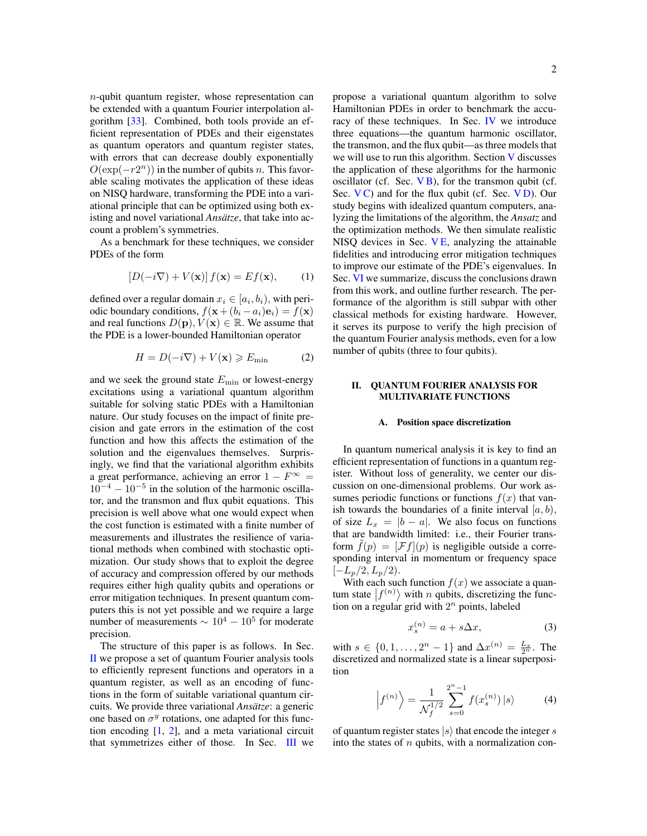n-qubit quantum register, whose representation can be extended with a quantum Fourier interpolation algorithm [\[33\]](#page-20-15). Combined, both tools provide an efficient representation of PDEs and their eigenstates as quantum operators and quantum register states, with errors that can decrease doubly exponentially  $O(\exp(-r2^n))$  in the number of qubits *n*. This favorable scaling motivates the application of these ideas on NISQ hardware, transforming the PDE into a variational principle that can be optimized using both existing and novel variational *Ansätze*, that take into account a problem's symmetries.

As a benchmark for these techniques, we consider PDEs of the form

<span id="page-1-1"></span>
$$
[D(-i\nabla) + V(\mathbf{x})]f(\mathbf{x}) = Ef(\mathbf{x}), \qquad (1)
$$

defined over a regular domain  $x_i \in [a_i, b_i)$ , with periodic boundary conditions,  $f(\mathbf{x}+(b_i-a_i)\mathbf{e}_i)=f(\mathbf{x})$ and real functions  $D(\mathbf{p}), V(\mathbf{x}) \in \mathbb{R}$ . We assume that the PDE is a lower-bounded Hamiltonian operator

<span id="page-1-2"></span>
$$
H = D(-i\nabla) + V(\mathbf{x}) \ge E_{\min}
$$
 (2)

and we seek the ground state  $E_{\text{min}}$  or lowest-energy excitations using a variational quantum algorithm suitable for solving static PDEs with a Hamiltonian nature. Our study focuses on the impact of finite precision and gate errors in the estimation of the cost function and how this affects the estimation of the solution and the eigenvalues themselves. Surprisingly, we find that the variational algorithm exhibits a great performance, achieving an error  $1 - F^{\infty} =$  $10^{-4} - 10^{-5}$  in the solution of the harmonic oscillator, and the transmon and flux qubit equations. This precision is well above what one would expect when the cost function is estimated with a finite number of measurements and illustrates the resilience of variational methods when combined with stochastic optimization. Our study shows that to exploit the degree of accuracy and compression offered by our methods requires either high quality qubits and operations or error mitigation techniques. In present quantum computers this is not yet possible and we require a large number of measurements  $\sim 10^4 - 10^5$  for moderate precision.

The structure of this paper is as follows. In Sec. [II](#page-1-0) we propose a set of quantum Fourier analysis tools to efficiently represent functions and operators in a quantum register, as well as an encoding of functions in the form of suitable variational quantum circuits. We provide three variational *Ansätze*: a generic one based on  $\sigma^y$  rotations, one adapted for this function encoding  $[1, 2]$  $[1, 2]$  $[1, 2]$ , and a meta variational circuit that symmetrizes either of those. In Sec. [III](#page-5-0) we propose a variational quantum algorithm to solve Hamiltonian PDEs in order to benchmark the accuracy of these techniques. In Sec. [IV](#page-7-0) we introduce three equations—the quantum harmonic oscillator, the transmon, and the flux qubit—as three models that we will use to run this algorithm. Section [V](#page-8-0) discusses the application of these algorithms for the harmonic oscillator (cf. Sec.  $V$ B), for the transmon qubit (cf. Sec.  $V$ C) and for the flux qubit (cf. Sec.  $V$ D). Our study begins with idealized quantum computers, analyzing the limitations of the algorithm, the *Ansatz* and the optimization methods. We then simulate realistic NISQ devices in Sec.  $VE$ , analyzing the attainable fidelities and introducing error mitigation techniques to improve our estimate of the PDE's eigenvalues. In Sec. [VI](#page-14-0) we summarize, discuss the conclusions drawn from this work, and outline further research. The performance of the algorithm is still subpar with other classical methods for existing hardware. However, it serves its purpose to verify the high precision of the quantum Fourier analysis methods, even for a low number of qubits (three to four qubits).

# <span id="page-1-0"></span>II. QUANTUM FOURIER ANALYSIS FOR MULTIVARIATE FUNCTIONS

#### A. Position space discretization

In quantum numerical analysis it is key to find an efficient representation of functions in a quantum register. Without loss of generality, we center our discussion on one-dimensional problems. Our work assumes periodic functions or functions  $f(x)$  that vanish towards the boundaries of a finite interval  $[a, b)$ , of size  $L_x = |b - a|$ . We also focus on functions that are bandwidth limited: i.e., their Fourier transform  $f(p) = [\mathcal{F}f](p)$  is negligible outside a corresponding interval in momentum or frequency space  $[-L_p/2, L_p/2].$ 

With each such function  $f(x)$  we associate a quantum state  $|f^{(n)}\rangle$  with *n* qubits, discretizing the function on a regular grid with  $2^n$  points, labeled

$$
x_s^{(n)} = a + s\Delta x,\tag{3}
$$

with  $s \in \{0, 1, ..., 2^n - 1\}$  and  $\Delta x^{(n)} = \frac{L_x}{2^n}$ . The discretized and normalized state is a linear superposition

$$
\left| f^{(n)} \right\rangle = \frac{1}{\mathcal{N}_f^{1/2}} \sum_{s=0}^{2^n - 1} f(x_s^{(n)}) \left| s \right\rangle \tag{4}
$$

of quantum register states  $|s\rangle$  that encode the integer s into the states of  $n$  qubits, with a normalization con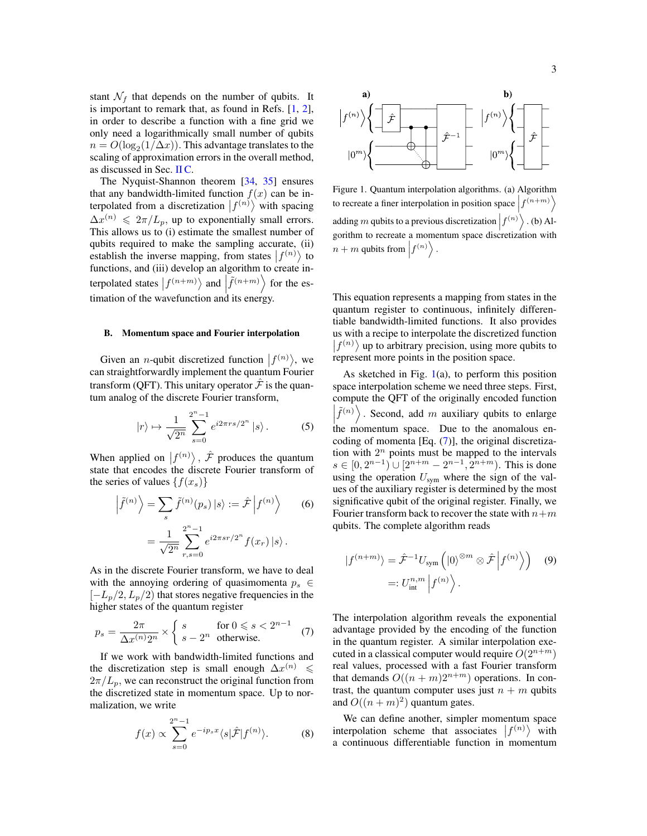stant  $\mathcal{N}_f$  that depends on the number of qubits. It is important to remark that, as found in Refs.  $[1, 2]$  $[1, 2]$  $[1, 2]$ , in order to describe a function with a fine grid we only need a logarithmically small number of qubits  $n = O(\log_2(1/\Delta x))$ . This advantage translates to the scaling of approximation errors in the overall method, as discussed in Sec. [II C.](#page-3-0)

The Nyquist-Shannon theorem [\[34,](#page-20-16) [35\]](#page-20-17) ensures that any bandwidth-limited function  $f(x)$  can be interpolated from a discretization  $|f^{(n)}\rangle$  with spacing  $\Delta x^{(n)} \leq 2\pi/L_p$ , up to exponentially small errors. This allows us to (i) estimate the smallest number of qubits required to make the sampling accurate, (ii) establish the inverse mapping, from states  $|f^{(n)}\rangle$  to functions, and (iii) develop an algorithm to create interpolated states  $|f^{(n+m)}\rangle$  and  $|f^{(n+m)}\rangle$  for the estimation of the wavefunction and its energy.

#### B. Momentum space and Fourier interpolation

Given an *n*-qubit discretized function  $|f^{(n)}\rangle$ , we can straightforwardly implement the quantum Fourier transform (QFT). This unitary operator  $\hat{\mathcal{F}}$  is the quantum analog of the discrete Fourier transform,

$$
|r\rangle \mapsto \frac{1}{\sqrt{2^n}} \sum_{s=0}^{2^n - 1} e^{i2\pi rs/2^n} |s\rangle.
$$
 (5)

When applied on  $|f^{(n)}\rangle$ ,  $\hat{\mathcal{F}}$  produces the quantum state that encodes the discrete Fourier transform of the series of values  $\{f(x_s)\}$ 

$$
\left|\tilde{f}^{(n)}\right\rangle = \sum_{s} \tilde{f}^{(n)}(p_s) \left|s\right\rangle := \hat{\mathcal{F}} \left|f^{(n)}\right\rangle \qquad (6)
$$

$$
= \frac{1}{\sqrt{2^n}} \sum_{r,s=0}^{2^n - 1} e^{i2\pi s r/2^n} f(x_r) \left|s\right\rangle.
$$

As in the discrete Fourier transform, we have to deal with the annoying ordering of quasimomenta  $p_s \in$  $[-L_p/2, L_p/2]$  that stores negative frequencies in the higher states of the quantum register

<span id="page-2-1"></span>
$$
p_s = \frac{2\pi}{\Delta x^{(n)}2^n} \times \begin{cases} s & \text{for } 0 \leqslant s < 2^{n-1} \\ s - 2^n & \text{otherwise.} \end{cases} \tag{7}
$$

If we work with bandwidth-limited functions and the discretization step is small enough  $\Delta x^{(n)} \leq$  $2\pi/L_p$ , we can reconstruct the original function from the discretized state in momentum space. Up to normalization, we write

<span id="page-2-2"></span>
$$
f(x) \propto \sum_{s=0}^{2^n - 1} e^{-ip_s x} \langle s | \hat{\mathcal{F}} | f^{(n)} \rangle.
$$
 (8)



<span id="page-2-0"></span>Figure 1. Quantum interpolation algorithms. (a) Algorithm to recreate a finer interpolation in position space  $\left|f^{(n+m)}\right\rangle$ adding m qubits to a previous discretization  $\left|f^{(n)}\right\rangle$ . (b) Algorithm to recreate a momentum space discretization with  $n+m$  qubits from  $\left|f^{(n)}\right\rangle$ .

This equation represents a mapping from states in the quantum register to continuous, infinitely differentiable bandwidth-limited functions. It also provides us with a recipe to interpolate the discretized function  $|f^{(n)}\rangle$  up to arbitrary precision, using more qubits to represent more points in the position space.

As sketched in Fig.  $1(a)$  $1(a)$ , to perform this position space interpolation scheme we need three steps. First, compute the QFT of the originally encoded function  $\left|\tilde{f}^{(n)}\right\rangle$ . Second, add m auxiliary qubits to enlarge  $\begin{bmatrix} 1 \\ 2 \end{bmatrix}$   $\begin{bmatrix} 1 \\ 2 \end{bmatrix}$   $\begin{bmatrix} 1 \\ 2 \end{bmatrix}$  and  $\begin{bmatrix} 1 \\ 2 \end{bmatrix}$  and  $\begin{bmatrix} 1 \\ 2 \end{bmatrix}$  and  $\begin{bmatrix} 1 \\ 2 \end{bmatrix}$  and  $\begin{bmatrix} 1 \\ 2 \end{bmatrix}$  and  $\begin{bmatrix} 1 \\ 2 \end{bmatrix}$  and  $\begin{bmatrix} 1 \\ 2 \end{bmatrix}$  and  $\begin{bmatrix} 1 \\ 2 \$ coding of momenta [Eq. [\(7\)](#page-2-1)], the original discretization with  $2^n$  points must be mapped to the intervals  $s \in [0, 2^{n-1}) \cup [2^{n+m} - 2^{n-1}, 2^{n+m})$ . This is done using the operation  $U_{sym}$  where the sign of the values of the auxiliary register is determined by the most significative qubit of the original register. Finally, we Fourier transform back to recover the state with  $n+m$ qubits. The complete algorithm reads

<span id="page-2-3"></span>
$$
|f^{(n+m)}\rangle = \hat{\mathcal{F}}^{-1} U_{\text{sym}}\left(|0\rangle^{\otimes m} \otimes \hat{\mathcal{F}}|f^{(n)}\rangle\right) \quad (9)
$$

$$
=: U_{\text{int}}^{n,m} |f^{(n)}\rangle.
$$

The interpolation algorithm reveals the exponential advantage provided by the encoding of the function in the quantum register. A similar interpolation executed in a classical computer would require  $O(2^{n+m})$ real values, processed with a fast Fourier transform that demands  $O((n + m)2^{n+m})$  operations. In contrast, the quantum computer uses just  $n + m$  qubits and  $O((n+m)^2)$  quantum gates.

We can define another, simpler momentum space interpolation scheme that associates  $|f^{(n)}\rangle$  with a continuous differentiable function in momentum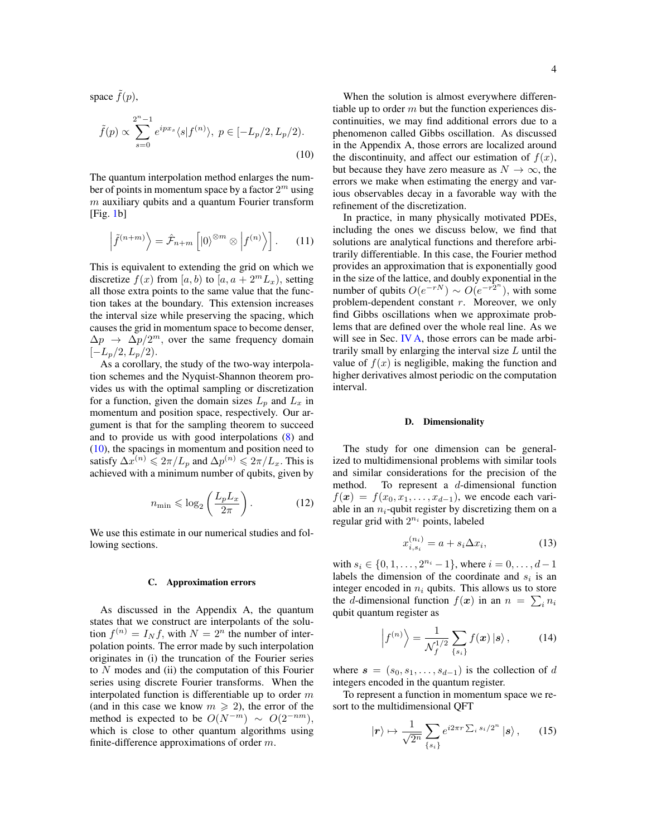space  $f(p)$ ,

$$
\tilde{f}(p) \propto \sum_{s=0}^{2^n - 1} e^{ipx_s} \langle s | f^{(n)} \rangle, \ p \in [-L_p/2, L_p/2).
$$
\n(10)

The quantum interpolation method enlarges the number of points in momentum space by a factor  $2^m$  using  $m$  auxiliary qubits and a quantum Fourier transform  $[Fig. 1b]$  $[Fig. 1b]$  $[Fig. 1b]$ 

$$
\left|\tilde{f}^{(n+m)}\right\rangle = \hat{\mathcal{F}}_{n+m}\left[|0\rangle^{\otimes m}\otimes|f^{(n)}\rangle\right].\qquad(11)
$$

This is equivalent to extending the grid on which we discretize  $f(x)$  from [a, b) to [a,  $a + 2<sup>m</sup>L<sub>x</sub>$ ), setting all those extra points to the same value that the function takes at the boundary. This extension increases the interval size while preserving the spacing, which causes the grid in momentum space to become denser,  $\Delta p \rightarrow \Delta p/2^m$ , over the same frequency domain  $[-L_p/2, L_p/2].$ 

As a corollary, the study of the two-way interpolation schemes and the Nyquist-Shannon theorem provides us with the optimal sampling or discretization for a function, given the domain sizes  $L_p$  and  $L_x$  in momentum and position space, respectively. Our argument is that for the sampling theorem to succeed and to provide us with good interpolations [\(8\)](#page-2-2) and [\(10\)](#page-3-1), the spacings in momentum and position need to satisfy  $\Delta x^{(n)} \leq 2\pi/L_p$  and  $\Delta p^{(n)} \leq 2\pi/L_x$ . This is achieved with a minimum number of qubits, given by

$$
n_{\min} \leqslant \log_2\left(\frac{L_p L_x}{2\pi}\right). \tag{12}
$$

We use this estimate in our numerical studies and following sections.

#### <span id="page-3-0"></span>C. Approximation errors

As discussed in the Appendix A, the quantum states that we construct are interpolants of the solution  $f^{(n)} = I_N f$ , with  $N = 2^n$  the number of interpolation points. The error made by such interpolation originates in (i) the truncation of the Fourier series to  $N$  modes and (ii) the computation of this Fourier series using discrete Fourier transforms. When the interpolated function is differentiable up to order  $m$ (and in this case we know  $m \geq 2$ ), the error of the method is expected to be  $O(N^{-m}) \sim O(2^{-nm})$ , which is close to other quantum algorithms using finite-difference approximations of order  $m$ .

<span id="page-3-1"></span>When the solution is almost everywhere differentiable up to order  $m$  but the function experiences discontinuities, we may find additional errors due to a phenomenon called Gibbs oscillation. As discussed in the Appendix A, those errors are localized around the discontinuity, and affect our estimation of  $f(x)$ , but because they have zero measure as  $N \to \infty$ , the errors we make when estimating the energy and various observables decay in a favorable way with the refinement of the discretization.

In practice, in many physically motivated PDEs, including the ones we discuss below, we find that solutions are analytical functions and therefore arbitrarily differentiable. In this case, the Fourier method provides an approximation that is exponentially good in the size of the lattice, and doubly exponential in the number of qubits  $O(e^{-rN}) \sim O(e^{-r2^n})$ , with some problem-dependent constant  $r$ . Moreover, we only find Gibbs oscillations when we approximate problems that are defined over the whole real line. As we will see in Sec. [IV A,](#page-7-1) those errors can be made arbitrarily small by enlarging the interval size  $L$  until the value of  $f(x)$  is negligible, making the function and higher derivatives almost periodic on the computation interval.

#### D. Dimensionality

The study for one dimension can be generalized to multidimensional problems with similar tools and similar considerations for the precision of the method. To represent a d-dimensional function  $f(x) = f(x_0, x_1, \ldots, x_{d-1})$ , we encode each variable in an  $n_i$ -qubit register by discretizing them on a regular grid with  $2^{n_i}$  points, labeled

$$
x_{i,s_i}^{(n_i)} = a + s_i \Delta x_i,\tag{13}
$$

with  $s_i \in \{0, 1, \ldots, 2^{n_i} - 1\}$ , where  $i = 0, \ldots, d - 1$ labels the dimension of the coordinate and  $s_i$  is an integer encoded in  $n_i$  qubits. This allows us to store the *d*-dimensional function  $f(x)$  in an  $n = \sum_i n_i$ qubit quantum register as

$$
\left|f^{(n)}\right\rangle = \frac{1}{\mathcal{N}_f^{1/2}} \sum_{\{s_i\}} f(\boldsymbol{x}) \left| \boldsymbol{s} \right\rangle, \tag{14}
$$

where  $s = (s_0, s_1, \ldots, s_{d-1})$  is the collection of d integers encoded in the quantum register.

To represent a function in momentum space we resort to the multidimensional QFT

$$
|\boldsymbol{r}\rangle \mapsto \frac{1}{\sqrt{2^n}} \sum_{\{s_i\}} e^{i2\pi r \sum_i s_i/2^n} |\boldsymbol{s}\rangle \,, \qquad (15)
$$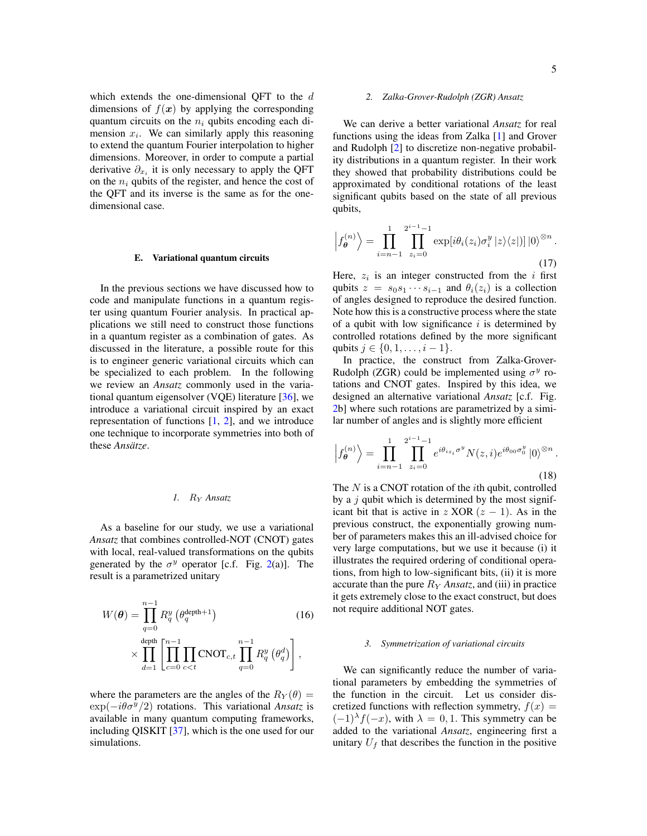which extends the one-dimensional QFT to the d dimensions of  $f(x)$  by applying the corresponding quantum circuits on the  $n_i$  qubits encoding each dimension  $x_i$ . We can similarly apply this reasoning to extend the quantum Fourier interpolation to higher dimensions. Moreover, in order to compute a partial derivative  $\partial_{x_i}$  it is only necessary to apply the QFT on the  $n_i$  qubits of the register, and hence the cost of the QFT and its inverse is the same as for the onedimensional case.

#### <span id="page-4-0"></span>E. Variational quantum circuits

In the previous sections we have discussed how to code and manipulate functions in a quantum register using quantum Fourier analysis. In practical applications we still need to construct those functions in a quantum register as a combination of gates. As discussed in the literature, a possible route for this is to engineer generic variational circuits which can be specialized to each problem. In the following we review an *Ansatz* commonly used in the variational quantum eigensolver (VQE) literature  $[36]$ , we introduce a variational circuit inspired by an exact representation of functions  $[1, 2]$  $[1, 2]$  $[1, 2]$ , and we introduce one technique to incorporate symmetries into both of these *Ansätze*.

# *1.* R<sup>Y</sup> *Ansatz*

As a baseline for our study, we use a variational *Ansatz* that combines controlled-NOT (CNOT) gates with local, real-valued transformations on the qubits generated by the  $\sigma^y$  operator [c.f. Fig. [2\(](#page-5-1)a)]. The result is a parametrized unitary

$$
W(\theta) = \prod_{q=0}^{n-1} R_q^y \left( \theta_q^{\text{depth}+1} \right)
$$
(16)  

$$
\times \prod_{d=1}^{\text{depth}} \left[ \prod_{c=0}^{n-1} \prod_{c \le t} \text{CNOT}_{c,t} \prod_{q=0}^{n-1} R_q^y \left( \theta_q^d \right) \right],
$$

where the parameters are the angles of the  $R_Y(\theta) =$  $\exp(-i\theta\sigma^y/2)$  rotations. This variational *Ansatz* is available in many quantum computing frameworks, including QISKIT [\[37\]](#page-20-19), which is the one used for our simulations.

#### *2. Zalka-Grover-Rudolph (ZGR) Ansatz*

We can derive a better variational *Ansatz* for real functions using the ideas from Zalka [\[1\]](#page-19-0) and Grover and Rudolph [\[2\]](#page-19-1) to discretize non-negative probability distributions in a quantum register. In their work they showed that probability distributions could be approximated by conditional rotations of the least significant qubits based on the state of all previous qubits,

$$
\left|f_{\theta}^{(n)}\right\rangle = \prod_{i=n-1}^{1} \prod_{z_i=0}^{2^{i-1}-1} \exp[i\theta_i(z_i)\sigma_i^y \left|z\right\rangle\langle z|)] \left|0\right\rangle^{\otimes n}.
$$
\n(17)

Here,  $z_i$  is an integer constructed from the i first qubits  $z = s_0 s_1 \cdots s_{i-1}$  and  $\theta_i(z_i)$  is a collection of angles designed to reproduce the desired function. Note how this is a constructive process where the state of a qubit with low significance  $i$  is determined by controlled rotations defined by the more significant qubits  $j \in \{0, 1, \ldots, i-1\}.$ 

In practice, the construct from Zalka-Grover-Rudolph (ZGR) could be implemented using  $\sigma^y$  rotations and CNOT gates. Inspired by this idea, we designed an alternative variational *Ansatz* [c.f. Fig. [2b](#page-5-1)] where such rotations are parametrized by a similar number of angles and is slightly more efficient

$$
\left| f_{\theta}^{(n)} \right\rangle = \prod_{i=n-1}^{1} \prod_{z_i=0}^{2^{i-1}-1} e^{i \theta_{iz_i} \sigma^y} N(z, i) e^{i \theta_{00} \sigma_0^y} \left| 0 \right\rangle^{\otimes n} .
$$
\n(18)

The  $N$  is a CNOT rotation of the *i*th qubit, controlled by a  $j$  qubit which is determined by the most significant bit that is active in z XOR  $(z - 1)$ . As in the previous construct, the exponentially growing number of parameters makes this an ill-advised choice for very large computations, but we use it because (i) it illustrates the required ordering of conditional operations, from high to low-significant bits, (ii) it is more accurate than the pure  $R_Y$  *Ansatz*, and (iii) in practice it gets extremely close to the exact construct, but does not require additional NOT gates.

#### *3. Symmetrization of variational circuits*

We can significantly reduce the number of variational parameters by embedding the symmetries of the function in the circuit. Let us consider discretized functions with reflection symmetry,  $f(x) =$  $(-1)^{\lambda} f(-x)$ , with  $\lambda = 0, 1$ . This symmetry can be added to the variational *Ansatz*, engineering first a unitary  $U_f$  that describes the function in the positive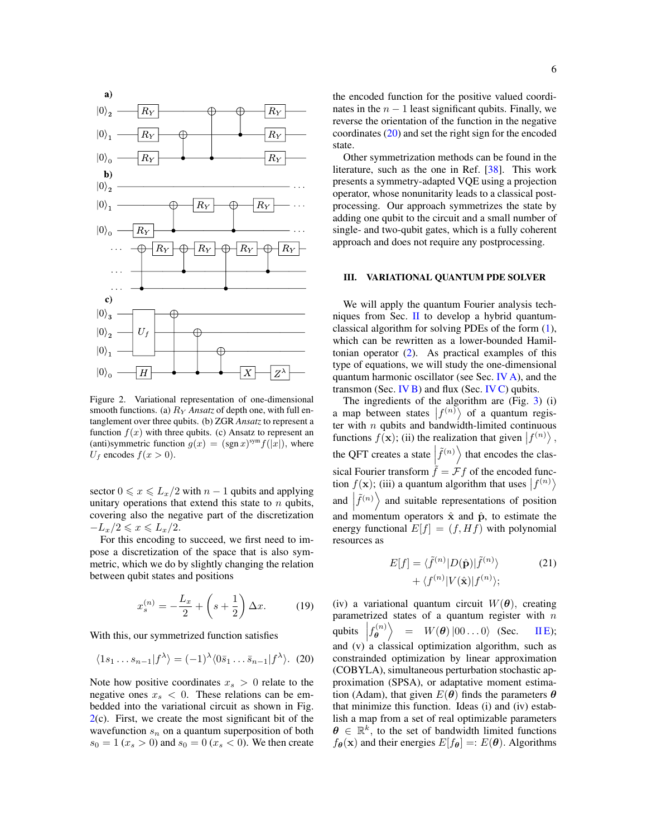

<span id="page-5-1"></span>Figure 2. Variational representation of one-dimensional smooth functions. (a)  $R<sub>Y</sub>$  *Ansatz* of depth one, with full entanglement over three qubits. (b) ZGR *Ansatz* to represent a function  $f(x)$  with three qubits. (c) Ansatz to represent an (anti)symmetric function  $g(x) = (\text{sgn } x)^{\text{sym}} f(|x|)$ , where  $U_f$  encodes  $f(x > 0)$ .

sector  $0 \le x \le L_x/2$  with  $n-1$  qubits and applying unitary operations that extend this state to  $n$  qubits, covering also the negative part of the discretization  $-L_x/2 \leqslant x \leqslant L_x/2.$ 

For this encoding to succeed, we first need to impose a discretization of the space that is also symmetric, which we do by slightly changing the relation between qubit states and positions

<span id="page-5-3"></span>
$$
x_s^{(n)} = -\frac{L_x}{2} + \left(s + \frac{1}{2}\right)\Delta x.
$$
 (19)

With this, our symmetrized function satisfies

<span id="page-5-2"></span>
$$
\langle 1s_1 \dots s_{n-1} | f^{\lambda} \rangle = (-1)^{\lambda} \langle 0 \overline{s}_1 \dots \overline{s}_{n-1} | f^{\lambda} \rangle. \tag{20}
$$

Note how positive coordinates  $x_s > 0$  relate to the negative ones  $x_s < 0$ . These relations can be embedded into the variational circuit as shown in Fig.  $2(c)$  $2(c)$ . First, we create the most significant bit of the wavefunction  $s_n$  on a quantum superposition of both  $s_0 = 1$  ( $x_s > 0$ ) and  $s_0 = 0$  ( $x_s < 0$ ). We then create the encoded function for the positive valued coordinates in the  $n - 1$  least significant qubits. Finally, we reverse the orientation of the function in the negative coordinates [\(20\)](#page-5-2) and set the right sign for the encoded state.

Other symmetrization methods can be found in the literature, such as the one in Ref. [\[38\]](#page-20-20). This work presents a symmetry-adapted VQE using a projection operator, whose nonunitarity leads to a classical postprocessing. Our approach symmetrizes the state by adding one qubit to the circuit and a small number of single- and two-qubit gates, which is a fully coherent approach and does not require any postprocessing.

#### <span id="page-5-0"></span>III. VARIATIONAL QUANTUM PDE SOLVER

We will apply the quantum Fourier analysis techniques from Sec. [II](#page-1-0) to develop a hybrid quantumclassical algorithm for solving PDEs of the form [\(1\)](#page-1-1), which can be rewritten as a lower-bounded Hamiltonian operator [\(2\)](#page-1-2). As practical examples of this type of equations, we will study the one-dimensional quantum harmonic oscillator (see Sec. [IV A\)](#page-7-1), and the transmon (Sec. [IV B\)](#page-7-2) and flux (Sec. [IV C\)](#page-7-3) qubits.

The ingredients of the algorithm are (Fig. [3\)](#page-6-0) (i) a map between states  $|f^{(n)}\rangle$  of a quantum register with  $n$  qubits and bandwidth-limited continuous functions  $f(\mathbf{x})$ ; (ii) the realization that given  $|f^{(n)}\rangle$ , the QFT creates a state  $\left|\tilde{f}^{(n)}\right\rangle$  that encodes the classical Fourier transform  $\tilde{f} = \mathcal{F}f$  of the encoded function  $f(\mathbf{x})$ ; (iii) a quantum algorithm that uses  $|f^{(n)}\rangle$ and  $\left|\tilde{f}^{(n)}\right\rangle$  and suitable representations of position and momentum operators  $\hat{x}$  and  $\hat{p}$ , to estimate the energy functional  $E[f] = (f, Hf)$  with polynomial resources as

$$
E[f] = \langle \tilde{f}^{(n)} | D(\hat{\mathbf{p}}) | \tilde{f}^{(n)} \rangle
$$
  
+  $\langle f^{(n)} | V(\hat{\mathbf{x}}) | f^{(n)} \rangle$ ; (21)

(iv) a variational quantum circuit  $W(\theta)$ , creating parametrized states of a quantum register with  $n$ qubits  $\left| f_{\theta}^{(n)} \right|$  $\stackrel{\cdot (n)}{\theta}$  $= W(\theta) |00...0\rangle$  (Sec. IIE); and  $(v)$  a classical optimization algorithm, such as constrainded optimization by linear approximation (COBYLA), simultaneous perturbation stochastic approximation (SPSA), or adaptative moment estimation (Adam), that given  $E(\theta)$  finds the parameters  $\theta$ that minimize this function. Ideas (i) and (iv) establish a map from a set of real optimizable parameters  $\boldsymbol{\theta} \in \mathbb{R}^k$ , to the set of bandwidth limited functions  $f_{\theta}(\mathbf{x})$  and their energies  $E[f_{\theta}] = E(\theta)$ . Algorithms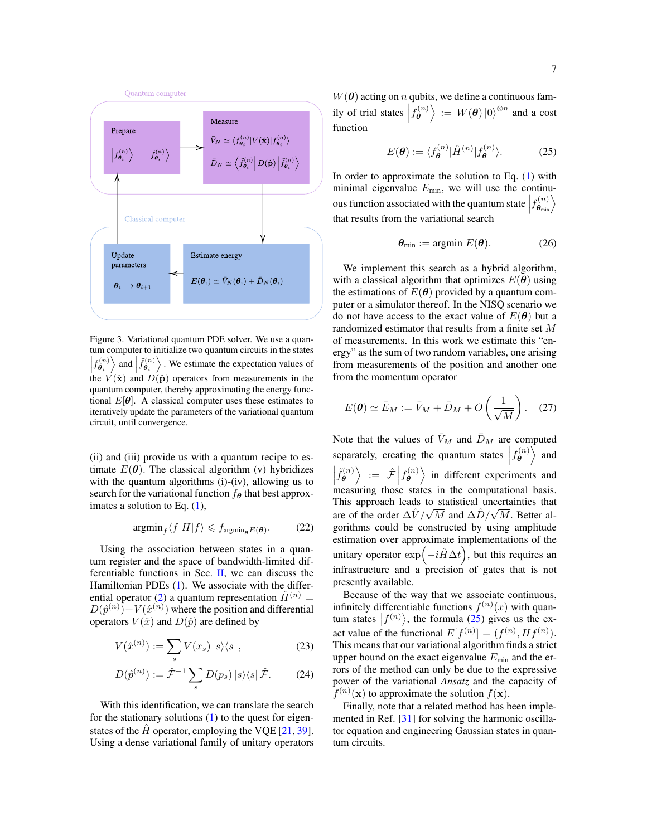

<span id="page-6-0"></span>Figure 3. Variational quantum PDE solver. We use a quantum computer to initialize two quantum circuits in the states  $\left|f_{\theta_i}^{(n)}\right\rangle$  and  $\left| \tilde{f}_{\theta_i}^{(n)}\right\rangle$ . We estimate the expectation values of  $t^{\beta} \theta_i^{\gamma}$  and  $D(\hat{\mathbf{p}})$  operators from measurements in the quantum computer, thereby approximating the energy functional  $E[\theta]$ . A classical computer uses these estimates to iteratively update the parameters of the variational quantum circuit, until convergence.

(ii) and (iii) provide us with a quantum recipe to estimate  $E(\theta)$ . The classical algorithm (v) hybridizes with the quantum algorithms (i)-(iv), allowing us to search for the variational function  $f_{\theta}$  that best approximates a solution to Eq. [\(1\)](#page-1-1),

$$
\operatorname{argmin}_{f} \langle f | H | f \rangle \leqslant f_{\operatorname{argmin}_{\boldsymbol{\theta}} E(\boldsymbol{\theta})}.
$$
 (22)

Using the association between states in a quantum register and the space of bandwidth-limited differentiable functions in Sec.  $II$ , we can discuss the Hamiltonian PDEs [\(1\)](#page-1-1). We associate with the differ-ential operator [\(2\)](#page-1-2) a quantum representation  $\hat{H}^{(n)} =$  $D(\hat{p}^{(n)})+V(\hat{x}^{(n)})$  where the position and differential operators  $V(\hat{x})$  and  $D(\hat{p})$  are defined by

$$
V(\hat{x}^{(n)}) := \sum_{s} V(x_s) \, |s\rangle\langle s| \,,\tag{23}
$$

$$
D(\hat{p}^{(n)}) := \hat{\mathcal{F}}^{-1} \sum_{s} D(p_s) \, |s\rangle\langle s| \, \hat{\mathcal{F}}. \tag{24}
$$

With this identification, we can translate the search for the stationary solutions  $(1)$  to the quest for eigenstates of the  $\hat{H}$  operator, employing the VOE [\[21,](#page-20-4) [39\]](#page-20-21). Using a dense variational family of unitary operators  $W(\theta)$  acting on n qubits, we define a continuous family of trial states  $\left| f_{\theta}^{(n)} \right|$  $\left\langle \overset{\cdot}{\theta}\right\rangle :=\left.W(\boldsymbol{\theta})\left|0\right\rangle ^{\otimes n}$  and a cost function

<span id="page-6-1"></span>
$$
E(\boldsymbol{\theta}) := \langle f_{\boldsymbol{\theta}}^{(n)} | \hat{H}^{(n)} | f_{\boldsymbol{\theta}}^{(n)} \rangle. \tag{25}
$$

In order to approximate the solution to Eq.  $(1)$  with minimal eigenvalue  $E_{\text{min}}$ , we will use the continuous function associated with the quantum state  $\left|f_{\theta_{\min}}^{(n)}\right\rangle$ that results from the variational search

$$
\boldsymbol{\theta}_{\min} := \operatorname{argmin} \, E(\boldsymbol{\theta}). \tag{26}
$$

We implement this search as a hybrid algorithm, with a classical algorithm that optimizes  $E(\theta)$  using the estimations of  $E(\theta)$  provided by a quantum computer or a simulator thereof. In the NISQ scenario we do not have access to the exact value of  $E(\theta)$  but a randomized estimator that results from a finite set M of measurements. In this work we estimate this "energy" as the sum of two random variables, one arising from measurements of the position and another one from the momentum operator

$$
E(\boldsymbol{\theta}) \simeq \bar{E}_M := \bar{V}_M + \bar{D}_M + O\left(\frac{1}{\sqrt{M}}\right). \quad (27)
$$

Note that the values of  $\bar{V}_M$  and  $\bar{D}_M$  are computed separately, creating the quantum states  $\left|f_{\theta}^{(n)}\right|$  $\stackrel{\cdot}{\theta}^{\left(n\right)}$  and  $\left|\tilde{f}_{\theta}^{(n)}\right|$  $\left\langle \begin{matrix} \hat{e}^{(n)} \ \hat{\theta} \end{matrix} \right\rangle := \hat{\mathcal{F}} \left| f_{\theta}^{(n)} \right\rangle$  $\left\langle \theta \right\rangle$  in different experiments and measuring those states in the computational basis. This approach leads to statistical uncertainties that are of the order  $\Delta V / \sqrt{M}$  and  $\Delta \hat{D} / \sqrt{M}$ . Better algorithms could be constructed by using amplitude estimation over approximate implementations of the unitary operator  $\exp(-i\hat{H}\Delta t)$ , but this requires an infrastructure and a precision of gates that is not presently available.

Because of the way that we associate continuous, infinitely differentiable functions  $f^{(n)}(x)$  with quantum states  $|f^{(n)}\rangle$ , the formula [\(25\)](#page-6-1) gives us the exact value of the functional  $E[f^{(n)}] = (f^{(n)}, Hf^{(n)})$ . This means that our variational algorithm finds a strict upper bound on the exact eigenvalue  $E_{\text{min}}$  and the errors of the method can only be due to the expressive power of the variational *Ansatz* and the capacity of  $f^{(n)}(\mathbf{x})$  to approximate the solution  $f(\mathbf{x})$ .

Finally, note that a related method has been implemented in Ref. [\[31\]](#page-20-22) for solving the harmonic oscillator equation and engineering Gaussian states in quantum circuits.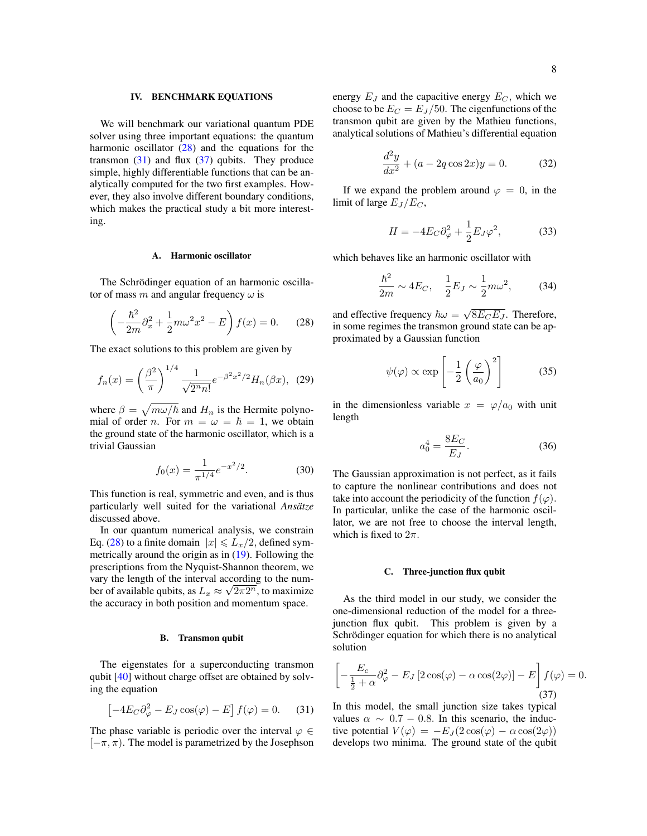# <span id="page-7-0"></span>IV. BENCHMARK EQUATIONS

We will benchmark our variational quantum PDE solver using three important equations: the quantum harmonic oscillator [\(28\)](#page-7-4) and the equations for the transmon  $(31)$  and flux  $(37)$  qubits. They produce simple, highly differentiable functions that can be analytically computed for the two first examples. However, they also involve different boundary conditions, which makes the practical study a bit more interesting.

## <span id="page-7-1"></span>A. Harmonic oscillator

The Schrödinger equation of an harmonic oscillator of mass m and angular frequency  $\omega$  is

<span id="page-7-4"></span>
$$
\left(-\frac{\hbar^2}{2m}\partial_x^2 + \frac{1}{2}m\omega^2 x^2 - E\right)f(x) = 0.
$$
 (28)

The exact solutions to this problem are given by

$$
f_n(x) = \left(\frac{\beta^2}{\pi}\right)^{1/4} \frac{1}{\sqrt{2^n n!}} e^{-\beta^2 x^2/2} H_n(\beta x), \tag{29}
$$

where  $\beta = \sqrt{m\omega/\hbar}$  and  $H_n$  is the Hermite polynomial of order n. For  $m = \omega = \hbar = 1$ , we obtain the ground state of the harmonic oscillator, which is a trivial Gaussian

<span id="page-7-8"></span>
$$
f_0(x) = \frac{1}{\pi^{1/4}} e^{-x^2/2}.
$$
 (30)

This function is real, symmetric and even, and is thus particularly well suited for the variational *Ansätze* discussed above.

In our quantum numerical analysis, we constrain Eq. [\(28\)](#page-7-4) to a finite domain  $|x| \le L_x/2$ , defined symmetrically around the origin as in [\(19\)](#page-5-3). Following the prescriptions from the Nyquist-Shannon theorem, we vary the length of the interval according to the number of available qubits, as  $L_x \approx \sqrt{2\pi}2^n$ , to maximize the accuracy in both position and momentum space.

# <span id="page-7-2"></span>B. Transmon qubit

The eigenstates for a superconducting transmon qubit [\[40\]](#page-20-23) without charge offset are obtained by solving the equation

<span id="page-7-5"></span>
$$
\left[-4E_C\partial^2_{\varphi} - E_J\cos(\varphi) - E\right]f(\varphi) = 0. \tag{31}
$$

The phase variable is periodic over the interval  $\varphi \in$  $[-\pi, \pi)$ . The model is parametrized by the Josephson energy  $E_J$  and the capacitive energy  $E_C$ , which we choose to be  $E_C = E_J/50$ . The eigenfunctions of the transmon qubit are given by the Mathieu functions, analytical solutions of Mathieu's differential equation

<span id="page-7-7"></span>
$$
\frac{d^2y}{dx^2} + (a - 2q\cos 2x)y = 0.
$$
 (32)

If we expand the problem around  $\varphi = 0$ , in the limit of large  $E_J/E_C$ ,

$$
H = -4E_C \partial_{\varphi}^2 + \frac{1}{2} E_J \varphi^2, \qquad (33)
$$

which behaves like an harmonic oscillator with

$$
\frac{\hbar^2}{2m} \sim 4E_C, \quad \frac{1}{2}E_J \sim \frac{1}{2}m\omega^2, \tag{34}
$$

and effective frequency  $\hbar \omega = \sqrt{8E_C E_J}$ . Therefore, in some regimes the transmon ground state can be approximated by a Gaussian function

$$
\psi(\varphi) \propto \exp\left[-\frac{1}{2}\left(\frac{\varphi}{a_0}\right)^2\right] \tag{35}
$$

in the dimensionless variable  $x = \varphi/a_0$  with unit length

$$
a_0^4 = \frac{8E_C}{E_J}.\t(36)
$$

The Gaussian approximation is not perfect, as it fails to capture the nonlinear contributions and does not take into account the periodicity of the function  $f(\varphi)$ . In particular, unlike the case of the harmonic oscillator, we are not free to choose the interval length, which is fixed to  $2\pi$ .

#### <span id="page-7-3"></span>C. Three-junction flux qubit

As the third model in our study, we consider the one-dimensional reduction of the model for a threejunction flux qubit. This problem is given by a Schrödinger equation for which there is no analytical solution

<span id="page-7-6"></span>
$$
\left[ -\frac{E_c}{\frac{1}{2} + \alpha} \partial_{\varphi}^2 - E_J \left[ 2 \cos(\varphi) - \alpha \cos(2\varphi) \right] - E \right] f(\varphi) = 0.
$$
\n(37)

In this model, the small junction size takes typical values  $\alpha \sim 0.7 - 0.8$ . In this scenario, the inductive potential  $V(\varphi) = -E_J(2\cos(\varphi) - \alpha \cos(2\varphi))$ develops two minima. The ground state of the qubit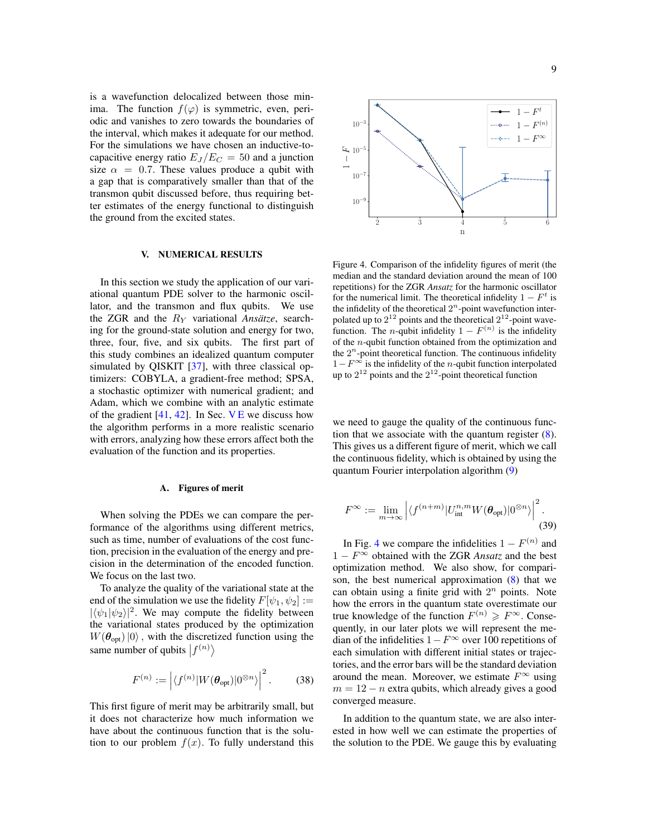is a wavefunction delocalized between those minima. The function  $f(\varphi)$  is symmetric, even, periodic and vanishes to zero towards the boundaries of the interval, which makes it adequate for our method. For the simulations we have chosen an inductive-tocapacitive energy ratio  $E_J/E_C = 50$  and a junction size  $\alpha = 0.7$ . These values produce a qubit with a gap that is comparatively smaller than that of the transmon qubit discussed before, thus requiring better estimates of the energy functional to distinguish the ground from the excited states.

## <span id="page-8-0"></span>V. NUMERICAL RESULTS

In this section we study the application of our variational quantum PDE solver to the harmonic oscillator, and the transmon and flux qubits. We use the ZGR and the R<sup>Y</sup> variational *Ansätze*, searching for the ground-state solution and energy for two, three, four, five, and six qubits. The first part of this study combines an idealized quantum computer simulated by QISKIT [\[37\]](#page-20-19), with three classical optimizers: COBYLA, a gradient-free method; SPSA, a stochastic optimizer with numerical gradient; and Adam, which we combine with an analytic estimate of the gradient  $[41, 42]$  $[41, 42]$  $[41, 42]$ . In Sec. [V E](#page-11-1) we discuss how the algorithm performs in a more realistic scenario with errors, analyzing how these errors affect both the evaluation of the function and its properties.

#### A. Figures of merit

When solving the PDEs we can compare the performance of the algorithms using different metrics, such as time, number of evaluations of the cost function, precision in the evaluation of the energy and precision in the determination of the encoded function. We focus on the last two.

To analyze the quality of the variational state at the end of the simulation we use the fidelity  $F[\psi_1, \psi_2] :=$  $|\langle \psi_1 | \psi_2 \rangle|^2$ . We may compute the fidelity between the variational states produced by the optimization  $W(\theta_{\text{opt}})|0\rangle$ , with the discretized function using the same number of qubits  $|f^{(n)}\rangle$ 

$$
F^{(n)} := \left| \langle f^{(n)} | W(\boldsymbol{\theta}_{\text{opt}}) | 0^{\otimes n} \rangle \right|^2. \tag{38}
$$

This first figure of merit may be arbitrarily small, but it does not characterize how much information we have about the continuous function that is the solution to our problem  $f(x)$ . To fully understand this



<span id="page-8-1"></span>Figure 4. Comparison of the infidelity figures of merit (the median and the standard deviation around the mean of 100 repetitions) for the ZGR *Ansatz* for the harmonic oscillator for the numerical limit. The theoretical infidelity  $1 - F<sup>t</sup>$  is the infidelity of the theoretical  $2<sup>n</sup>$ -point wavefunction interpolated up to  $2^{12}$  points and the theoretical  $2^{12}$ -point wavefunction. The *n*-qubit infidelity  $1 - F^{(n)}$  is the infidelity of the n-qubit function obtained from the optimization and the  $2^n$ -point theoretical function. The continuous infidelity  $1-F^{\infty}$  is the infidelity of the *n*-qubit function interpolated up to  $2^{12}$  points and the  $2^{12}$ -point theoretical function

we need to gauge the quality of the continuous function that we associate with the quantum register  $(8)$ . This gives us a different figure of merit, which we call the continuous fidelity, which is obtained by using the quantum Fourier interpolation algorithm [\(9\)](#page-2-3)

$$
F^{\infty} := \lim_{m \to \infty} \left| \langle f^{(n+m)} | U_{\text{int}}^{n,m} W(\boldsymbol{\theta}_{\text{opt}}) | 0^{\otimes n} \rangle \right|^2.
$$
\n(39)

In Fig. [4](#page-8-1) we compare the infidelities  $1 - F^{(n)}$  and 1 −  $F^{\infty}$  obtained with the ZGR *Ansatz* and the best optimization method. We also show, for comparison, the best numerical approximation  $(8)$  that we can obtain using a finite grid with  $2<sup>n</sup>$  points. Note how the errors in the quantum state overestimate our true knowledge of the function  $F^{(n)} \geq F^{\infty}$ . Consequently, in our later plots we will represent the median of the infidelities  $1-F^\infty$  over 100 repetitions of each simulation with different initial states or trajectories, and the error bars will be the standard deviation around the mean. Moreover, we estimate  $F^{\infty}$  using  $m = 12 - n$  extra qubits, which already gives a good converged measure.

In addition to the quantum state, we are also interested in how well we can estimate the properties of the solution to the PDE. We gauge this by evaluating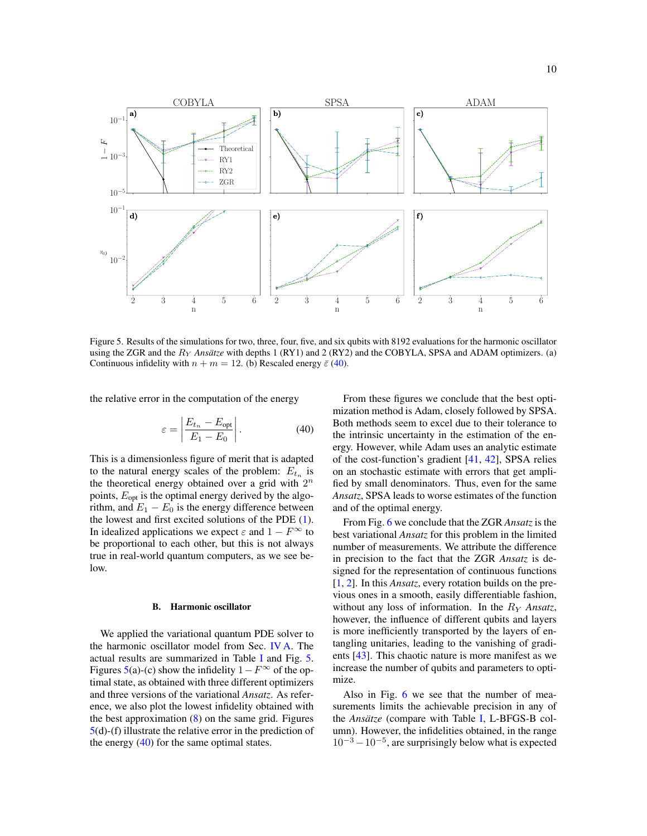

<span id="page-9-2"></span>Figure 5. Results of the simulations for two, three, four, five, and six qubits with 8192 evaluations for the harmonic oscillator using the ZGR and the R<sup>Y</sup> *Ansätze* with depths 1 (RY1) and 2 (RY2) and the COBYLA, SPSA and ADAM optimizers. (a) Continuous infidelity with  $n + m = 12$ . (b) Rescaled energy  $\bar{\varepsilon}$  [\(40\)](#page-9-1).

the relative error in the computation of the energy

<span id="page-9-1"></span>
$$
\varepsilon = \left| \frac{E_{t_n} - E_{\text{opt}}}{E_1 - E_0} \right|.
$$
\n(40)

This is a dimensionless figure of merit that is adapted to the natural energy scales of the problem:  $E_{t_n}$  is the theoretical energy obtained over a grid with  $2^n$ points,  $E_{opt}$  is the optimal energy derived by the algorithm, and  $E_1 - E_0$  is the energy difference between the lowest and first excited solutions of the PDE [\(1\)](#page-1-1). In idealized applications we expect  $\varepsilon$  and  $1 - F^{\infty}$  to be proportional to each other, but this is not always true in real-world quantum computers, as we see below.

#### <span id="page-9-0"></span>B. Harmonic oscillator

We applied the variational quantum PDE solver to the harmonic oscillator model from Sec. [IV A.](#page-7-1) The actual results are summarized in Table [I](#page-18-0) and Fig. [5.](#page-9-2) Figures [5\(](#page-9-2)a)-(c) show the infidelity  $1-F^{\infty}$  of the optimal state, as obtained with three different optimizers and three versions of the variational *Ansatz*. As reference, we also plot the lowest infidelity obtained with the best approximation  $(8)$  on the same grid. Figures [5\(](#page-9-2)d)-(f) illustrate the relative error in the prediction of the energy  $(40)$  for the same optimal states.

From these figures we conclude that the best optimization method is Adam, closely followed by SPSA. Both methods seem to excel due to their tolerance to the intrinsic uncertainty in the estimation of the energy. However, while Adam uses an analytic estimate of the cost-function's gradient [\[41,](#page-20-24) [42\]](#page-20-25), SPSA relies on an stochastic estimate with errors that get amplified by small denominators. Thus, even for the same *Ansatz*, SPSA leads to worse estimates of the function and of the optimal energy.

From Fig. [6](#page-10-1) we conclude that the ZGR *Ansatz* is the best variational *Ansatz* for this problem in the limited number of measurements. We attribute the difference in precision to the fact that the ZGR *Ansatz* is designed for the representation of continuous functions [\[1,](#page-19-0) [2\]](#page-19-1). In this *Ansatz*, every rotation builds on the previous ones in a smooth, easily differentiable fashion, without any loss of information. In the R<sup>Y</sup> *Ansatz*, however, the influence of different qubits and layers is more inefficiently transported by the layers of entangling unitaries, leading to the vanishing of gradients [\[43\]](#page-20-26). This chaotic nature is more manifest as we increase the number of qubits and parameters to optimize.

Also in Fig. [6](#page-10-1) we see that the number of measurements limits the achievable precision in any of the *Ansätze* (compare with Table [I,](#page-18-0) L-BFGS-B column). However, the infidelities obtained, in the range  $10^{-3} - 10^{-5}$ , are surprisingly below what is expected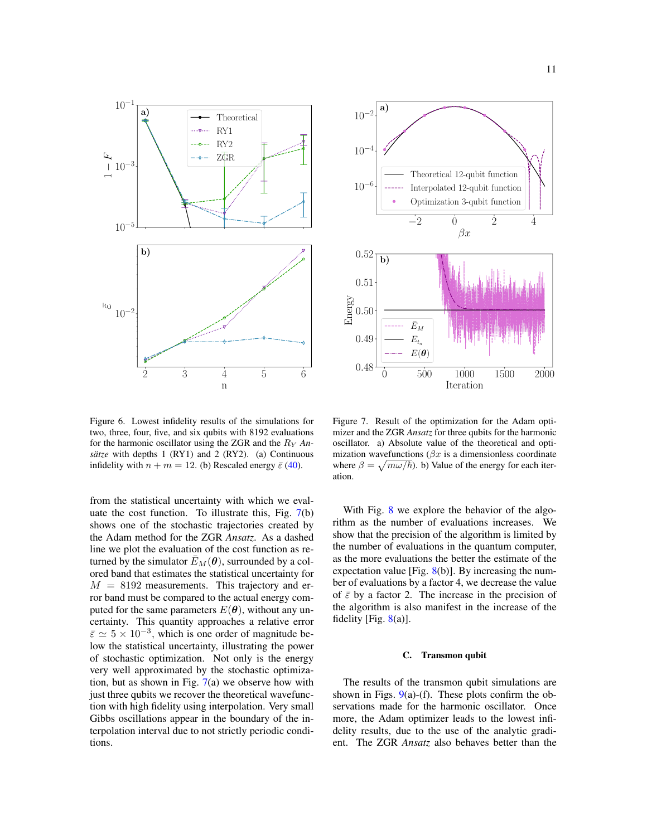

 $-2$  0 2 4  $\beta x$ 10−<sup>6</sup> 10−<sup>4</sup>  $10^{-2}$ Theoretical 12-qubit function Interpolated 12-qubit function Optimization 3-qubit function 0 500 1000 1500 2000 Iteration 0.48 0.49  $\mathbb{E}[\left.0.50\right]$ 0.51 0.52 b)  $\bar{E}_M$  $E_{t_n}$  $E(\boldsymbol{\theta})$ 

<span id="page-10-1"></span>Figure 6. Lowest infidelity results of the simulations for two, three, four, five, and six qubits with 8192 evaluations for the harmonic oscillator using the ZGR and the R<sup>Y</sup> *Ansätze* with depths 1 (RY1) and 2 (RY2). (a) Continuous infidelity with  $n + m = 12$ . (b) Rescaled energy  $\bar{\varepsilon}$  [\(40\)](#page-9-1).

from the statistical uncertainty with which we evaluate the cost function. To illustrate this, Fig.  $7(b)$  $7(b)$ shows one of the stochastic trajectories created by the Adam method for the ZGR *Ansatz*. As a dashed line we plot the evaluation of the cost function as returned by the simulator  $\bar{E}_M(\theta)$ , surrounded by a colored band that estimates the statistical uncertainty for  $M = 8192$  measurements. This trajectory and error band must be compared to the actual energy computed for the same parameters  $E(\theta)$ , without any uncertainty. This quantity approaches a relative error  $\bar{\varepsilon} \simeq 5 \times 10^{-3}$ , which is one order of magnitude below the statistical uncertainty, illustrating the power of stochastic optimization. Not only is the energy very well approximated by the stochastic optimization, but as shown in Fig.  $7(a)$  $7(a)$  we observe how with just three qubits we recover the theoretical wavefunction with high fidelity using interpolation. Very small Gibbs oscillations appear in the boundary of the interpolation interval due to not strictly periodic conditions.

<span id="page-10-2"></span>Figure 7. Result of the optimization for the Adam optimizer and the ZGR *Ansatz* for three qubits for the harmonic oscillator. a) Absolute value of the theoretical and optimization wavefunctions ( $\beta x$  is a dimensionless coordinate where  $\beta = \sqrt{m\omega/\hbar}$ . b) Value of the energy for each iteration.

With Fig. [8](#page-11-2) we explore the behavior of the algorithm as the number of evaluations increases. We show that the precision of the algorithm is limited by the number of evaluations in the quantum computer, as the more evaluations the better the estimate of the expectation value [Fig.  $8(b)$  $8(b)$ ]. By increasing the number of evaluations by a factor 4, we decrease the value of  $\bar{\varepsilon}$  by a factor 2. The increase in the precision of the algorithm is also manifest in the increase of the fidelity [Fig.  $8(a)$  $8(a)$ ].

# <span id="page-10-0"></span>C. Transmon qubit

The results of the transmon qubit simulations are shown in Figs.  $9(a)$  $9(a)$ -(f). These plots confirm the observations made for the harmonic oscillator. Once more, the Adam optimizer leads to the lowest infidelity results, due to the use of the analytic gradient. The ZGR *Ansatz* also behaves better than the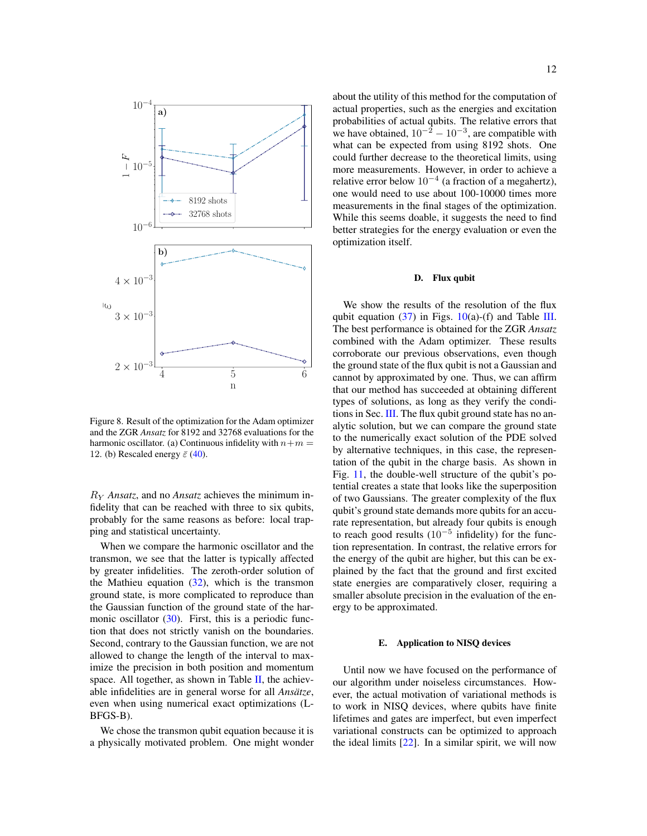

<span id="page-11-2"></span>Figure 8. Result of the optimization for the Adam optimizer and the ZGR *Ansatz* for 8192 and 32768 evaluations for the harmonic oscillator. (a) Continuous infidelity with  $n+m=$ 12. (b) Rescaled energy  $\bar{\varepsilon}$  [\(40\)](#page-9-1).

R<sup>Y</sup> *Ansatz*, and no *Ansatz* achieves the minimum infidelity that can be reached with three to six qubits, probably for the same reasons as before: local trapping and statistical uncertainty.

When we compare the harmonic oscillator and the transmon, we see that the latter is typically affected by greater infidelities. The zeroth-order solution of the Mathieu equation  $(32)$ , which is the transmon ground state, is more complicated to reproduce than the Gaussian function of the ground state of the harmonic oscillator  $(30)$ . First, this is a periodic function that does not strictly vanish on the boundaries. Second, contrary to the Gaussian function, we are not allowed to change the length of the interval to maximize the precision in both position and momentum space. All together, as shown in Table  $II$ , the achievable infidelities are in general worse for all *Ansätze*, even when using numerical exact optimizations (L-BFGS-B).

We chose the transmon qubit equation because it is a physically motivated problem. One might wonder about the utility of this method for the computation of actual properties, such as the energies and excitation probabilities of actual qubits. The relative errors that we have obtained,  $10^{-2} - 10^{-3}$ , are compatible with what can be expected from using 8192 shots. One could further decrease to the theoretical limits, using more measurements. However, in order to achieve a relative error below  $10^{-4}$  (a fraction of a megahertz), one would need to use about 100-10000 times more measurements in the final stages of the optimization. While this seems doable, it suggests the need to find better strategies for the energy evaluation or even the optimization itself.

#### <span id="page-11-0"></span>D. Flux qubit

We show the results of the resolution of the flux qubit equation [\(37\)](#page-7-6) in Figs.  $10(a)$  $10(a)$ -(f) and Table [III.](#page-19-16) The best performance is obtained for the ZGR *Ansatz* combined with the Adam optimizer. These results corroborate our previous observations, even though the ground state of the flux qubit is not a Gaussian and cannot by approximated by one. Thus, we can affirm that our method has succeeded at obtaining different types of solutions, as long as they verify the conditions in Sec. [III.](#page-5-0) The flux qubit ground state has no analytic solution, but we can compare the ground state to the numerically exact solution of the PDE solved by alternative techniques, in this case, the representation of the qubit in the charge basis. As shown in Fig. [11,](#page-13-0) the double-well structure of the qubit's potential creates a state that looks like the superposition of two Gaussians. The greater complexity of the flux qubit's ground state demands more qubits for an accurate representation, but already four qubits is enough to reach good results  $(10^{-5}$  infidelity) for the function representation. In contrast, the relative errors for the energy of the qubit are higher, but this can be explained by the fact that the ground and first excited state energies are comparatively closer, requiring a smaller absolute precision in the evaluation of the energy to be approximated.

# <span id="page-11-1"></span>E. Application to NISQ devices

Until now we have focused on the performance of our algorithm under noiseless circumstances. However, the actual motivation of variational methods is to work in NISQ devices, where qubits have finite lifetimes and gates are imperfect, but even imperfect variational constructs can be optimized to approach the ideal limits [\[22\]](#page-20-5). In a similar spirit, we will now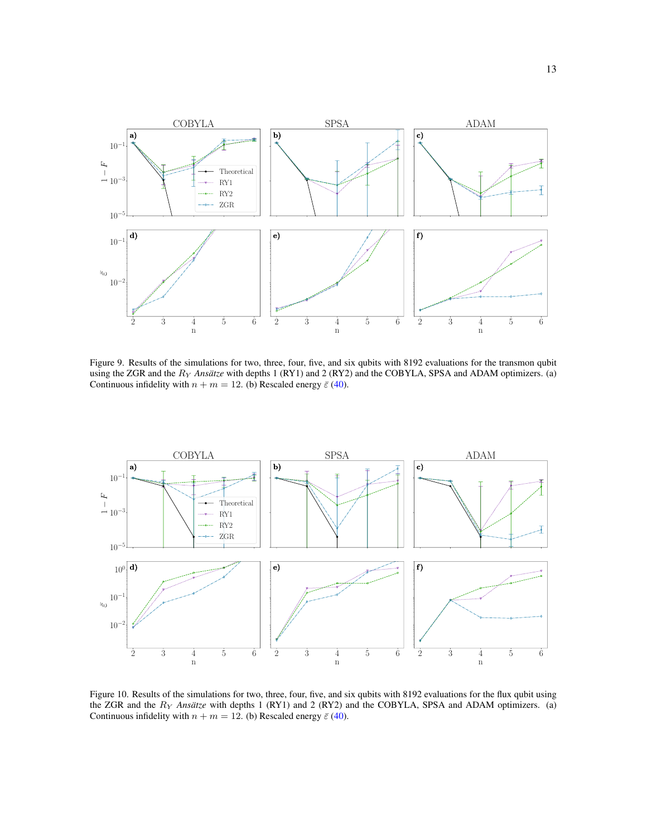

<span id="page-12-0"></span>Figure 9. Results of the simulations for two, three, four, five, and six qubits with 8192 evaluations for the transmon qubit using the ZGR and the R<sup>Y</sup> *Ansätze* with depths 1 (RY1) and 2 (RY2) and the COBYLA, SPSA and ADAM optimizers. (a) Continuous infidelity with  $n + m = 12$ . (b) Rescaled energy  $\bar{\varepsilon}$  [\(40\)](#page-9-1).



<span id="page-12-1"></span>Figure 10. Results of the simulations for two, three, four, five, and six qubits with 8192 evaluations for the flux qubit using the ZGR and the R<sup>Y</sup> *Ansätze* with depths 1 (RY1) and 2 (RY2) and the COBYLA, SPSA and ADAM optimizers. (a) Continuous infidelity with  $n + m = 12$ . (b) Rescaled energy  $\bar{\varepsilon}$  [\(40\)](#page-9-1).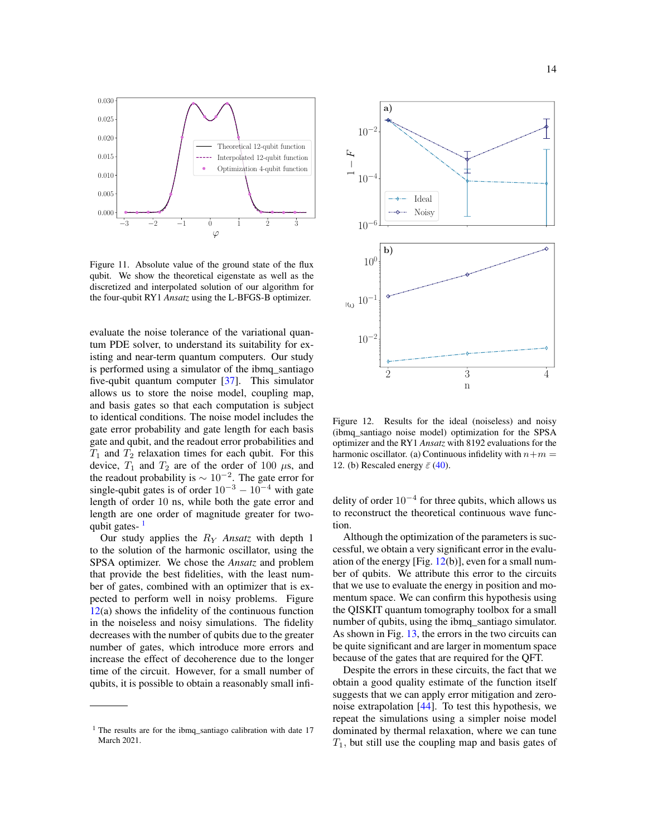

<span id="page-13-0"></span>Figure 11. Absolute value of the ground state of the flux qubit. We show the theoretical eigenstate as well as the discretized and interpolated solution of our algorithm for the four-qubit RY1 *Ansatz* using the L-BFGS-B optimizer.

evaluate the noise tolerance of the variational quantum PDE solver, to understand its suitability for existing and near-term quantum computers. Our study is performed using a simulator of the ibmq\_santiago five-qubit quantum computer [\[37\]](#page-20-19). This simulator allows us to store the noise model, coupling map, and basis gates so that each computation is subject to identical conditions. The noise model includes the gate error probability and gate length for each basis gate and qubit, and the readout error probabilities and  $T_1$  and  $T_2$  relaxation times for each qubit. For this device,  $T_1$  and  $T_2$  are of the order of 100  $\mu$ s, and the readout probability is  $\sim 10^{-2}$ . The gate error for single-qubit gates is of order  $10^{-3} - 10^{-4}$  with gate length of order 10 ns, while both the gate error and length are one order of magnitude greater for twoqubit gates-

Our study applies the R<sup>Y</sup> *Ansatz* with depth 1 to the solution of the harmonic oscillator, using the SPSA optimizer. We chose the *Ansatz* and problem that provide the best fidelities, with the least number of gates, combined with an optimizer that is expected to perform well in noisy problems. Figure  $12(a)$  $12(a)$  shows the infidelity of the continuous function in the noiseless and noisy simulations. The fidelity decreases with the number of qubits due to the greater number of gates, which introduce more errors and increase the effect of decoherence due to the longer time of the circuit. However, for a small number of qubits, it is possible to obtain a reasonably small infi-



<span id="page-13-2"></span>Figure 12. Results for the ideal (noiseless) and noisy (ibmq\_santiago noise model) optimization for the SPSA optimizer and the RY1 *Ansatz* with 8192 evaluations for the harmonic oscillator. (a) Continuous infidelity with  $n+m=$ 12. (b) Rescaled energy  $\bar{\varepsilon}$  [\(40\)](#page-9-1).

delity of order  $10^{-4}$  for three qubits, which allows us to reconstruct the theoretical continuous wave function.

Although the optimization of the parameters is successful, we obtain a very significant error in the evaluation of the energy [Fig.  $12(b)$  $12(b)$ ], even for a small number of qubits. We attribute this error to the circuits that we use to evaluate the energy in position and momentum space. We can confirm this hypothesis using the QISKIT quantum tomography toolbox for a small number of qubits, using the ibmq\_santiago simulator. As shown in Fig. [13,](#page-14-1) the errors in the two circuits can be quite significant and are larger in momentum space because of the gates that are required for the QFT.

Despite the errors in these circuits, the fact that we obtain a good quality estimate of the function itself suggests that we can apply error mitigation and zeronoise extrapolation [\[44\]](#page-20-27). To test this hypothesis, we repeat the simulations using a simpler noise model dominated by thermal relaxation, where we can tune  $T_1$ , but still use the coupling map and basis gates of

<span id="page-13-1"></span> $1$  The results are for the ibmq\_santiago calibration with date 17 March 2021.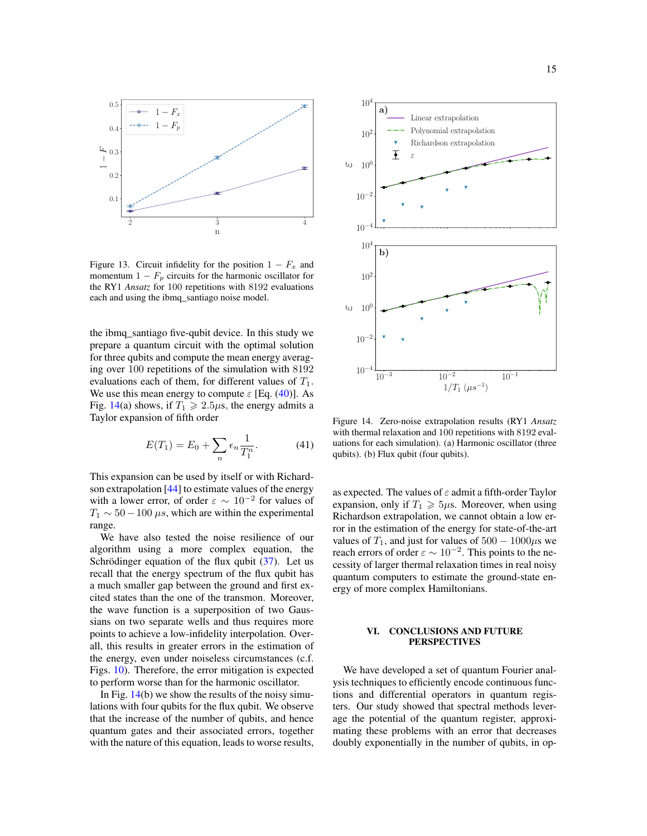

<span id="page-14-1"></span>Figure 13. Circuit infidelity for the position  $1 - F_x$  and momentum  $1 - F_p$  circuits for the harmonic oscillator for the RY1 *Ansatz* for 100 repetitions with 8192 evaluations each and using the ibmq\_santiago noise model.

the ibmq\_santiago five-qubit device. In this study we prepare a quantum circuit with the optimal solution for three qubits and compute the mean energy averaging over 100 repetitions of the simulation with 8192 evaluations each of them, for different values of  $T_1$ . We use this mean energy to compute  $\varepsilon$  [Eq. [\(40\)](#page-9-1)]. As Fig. [14\(](#page-14-2)a) shows, if  $T_1 \ge 2.5 \mu s$ , the energy admits a Taylor expansion of fifth order

$$
E(T_1) = E_0 + \sum_{n} \epsilon_n \frac{1}{T_1^n}.
$$
 (41)

This expansion can be used by itself or with Richardson extrapolation [\[44\]](#page-20-27) to estimate values of the energy with a lower error, of order  $\varepsilon \sim 10^{-2}$  for values of  $T_1 \sim 50 - 100 \,\mu s$ , which are within the experimental range.

We have also tested the noise resilience of our algorithm using a more complex equation, the Schrödinger equation of the flux qubit  $(37)$ . Let us recall that the energy spectrum of the flux qubit has a much smaller gap between the ground and first excited states than the one of the transmon. Moreover, the wave function is a superposition of two Gaussians on two separate wells and thus requires more points to achieve a low-infidelity interpolation. Overall, this results in greater errors in the estimation of the energy, even under noiseless circumstances (c.f. Figs. [10\)](#page-12-1). Therefore, the error mitigation is expected to perform worse than for the harmonic oscillator.

In Fig.  $14(b)$  $14(b)$  we show the results of the noisy simulations with four qubits for the flux qubit. We observe that the increase of the number of qubits, and hence quantum gates and their associated errors, together with the nature of this equation, leads to worse results,



<span id="page-14-2"></span>Figure 14. Zero-noise extrapolation results (RY1 *Ansatz* with thermal relaxation and 100 repetitions with 8192 evaluations for each simulation). (a) Harmonic oscillator (three qubits). (b) Flux qubit (four qubits).

as expected. The values of  $\varepsilon$  admit a fifth-order Taylor expansion, only if  $T_1 \geq 5\mu$ s. Moreover, when using Richardson extrapolation, we cannot obtain a low error in the estimation of the energy for state-of-the-art values of  $T_1$ , and just for values of  $500 - 1000 \mu s$  we reach errors of order  $\varepsilon \sim 10^{-2}$ . This points to the necessity of larger thermal relaxation times in real noisy quantum computers to estimate the ground-state energy of more complex Hamiltonians.

# <span id="page-14-0"></span>VI. CONCLUSIONS AND FUTURE **PERSPECTIVES**

We have developed a set of quantum Fourier analysis techniques to efficiently encode continuous functions and differential operators in quantum registers. Our study showed that spectral methods leverage the potential of the quantum register, approximating these problems with an error that decreases doubly exponentially in the number of qubits, in op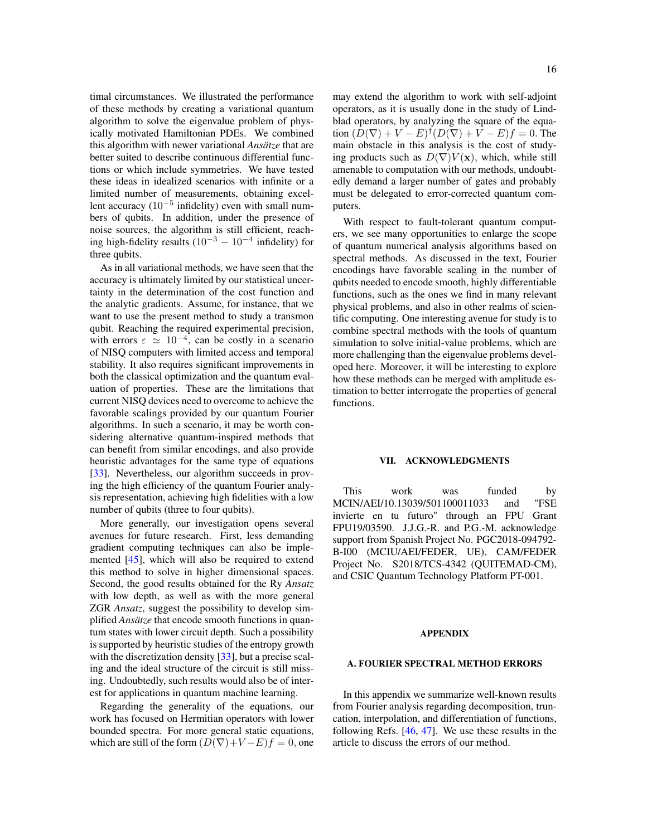timal circumstances. We illustrated the performance of these methods by creating a variational quantum algorithm to solve the eigenvalue problem of physically motivated Hamiltonian PDEs. We combined this algorithm with newer variational *Ansätze* that are better suited to describe continuous differential functions or which include symmetries. We have tested these ideas in idealized scenarios with infinite or a limited number of measurements, obtaining excellent accuracy  $(10^{-5}$  infidelity) even with small numbers of qubits. In addition, under the presence of noise sources, the algorithm is still efficient, reaching high-fidelity results  $(10^{-3} - 10^{-4}$  infidelity) for three qubits.

As in all variational methods, we have seen that the accuracy is ultimately limited by our statistical uncertainty in the determination of the cost function and the analytic gradients. Assume, for instance, that we want to use the present method to study a transmon qubit. Reaching the required experimental precision, with errors  $\varepsilon \simeq 10^{-4}$ , can be costly in a scenario of NISQ computers with limited access and temporal stability. It also requires significant improvements in both the classical optimization and the quantum evaluation of properties. These are the limitations that current NISQ devices need to overcome to achieve the favorable scalings provided by our quantum Fourier algorithms. In such a scenario, it may be worth considering alternative quantum-inspired methods that can benefit from similar encodings, and also provide heuristic advantages for the same type of equations [\[33\]](#page-20-15). Nevertheless, our algorithm succeeds in proving the high efficiency of the quantum Fourier analysis representation, achieving high fidelities with a low number of qubits (three to four qubits).

More generally, our investigation opens several avenues for future research. First, less demanding gradient computing techniques can also be implemented [\[45\]](#page-20-28), which will also be required to extend this method to solve in higher dimensional spaces. Second, the good results obtained for the Ry *Ansatz* with low depth, as well as with the more general ZGR *Ansatz*, suggest the possibility to develop simplified *Ansätze* that encode smooth functions in quantum states with lower circuit depth. Such a possibility is supported by heuristic studies of the entropy growth with the discretization density [\[33\]](#page-20-15), but a precise scaling and the ideal structure of the circuit is still missing. Undoubtedly, such results would also be of interest for applications in quantum machine learning.

Regarding the generality of the equations, our work has focused on Hermitian operators with lower bounded spectra. For more general static equations, which are still of the form  $(D(\nabla)+V-E)f=0$ , one may extend the algorithm to work with self-adjoint operators, as it is usually done in the study of Lindblad operators, by analyzing the square of the equation  $(D(\nabla) + V - E)^{\dagger} (D(\nabla) + V - E) f = 0$ . The main obstacle in this analysis is the cost of studying products such as  $D(\nabla)V(\mathbf{x})$ , which, while still amenable to computation with our methods, undoubtedly demand a larger number of gates and probably must be delegated to error-corrected quantum computers.

With respect to fault-tolerant quantum computers, we see many opportunities to enlarge the scope of quantum numerical analysis algorithms based on spectral methods. As discussed in the text, Fourier encodings have favorable scaling in the number of qubits needed to encode smooth, highly differentiable functions, such as the ones we find in many relevant physical problems, and also in other realms of scientific computing. One interesting avenue for study is to combine spectral methods with the tools of quantum simulation to solve initial-value problems, which are more challenging than the eigenvalue problems developed here. Moreover, it will be interesting to explore how these methods can be merged with amplitude estimation to better interrogate the properties of general functions.

## VII. ACKNOWLEDGMENTS

This work was funded by MCIN/AEI/10.13039/501100011033 and "FSE invierte en tu futuro" through an FPU Grant FPU19/03590. J.J.G.-R. and P.G.-M. acknowledge support from Spanish Project No. PGC2018-094792- B-I00 (MCIU/AEI/FEDER, UE), CAM/FEDER Project No. S2018/TCS-4342 (QUITEMAD-CM), and CSIC Quantum Technology Platform PT-001.

# APPENDIX

# A. FOURIER SPECTRAL METHOD ERRORS

In this appendix we summarize well-known results from Fourier analysis regarding decomposition, truncation, interpolation, and differentiation of functions, following Refs. [\[46,](#page-20-29) [47\]](#page-20-30). We use these results in the article to discuss the errors of our method.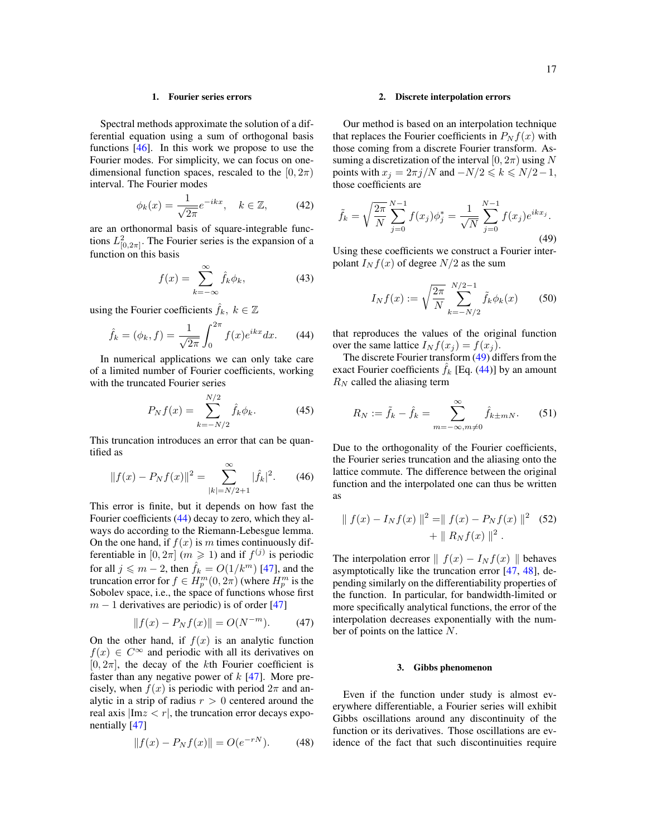# 1. Fourier series errors

Spectral methods approximate the solution of a differential equation using a sum of orthogonal basis functions [\[46\]](#page-20-29). In this work we propose to use the Fourier modes. For simplicity, we can focus on onedimensional function spaces, rescaled to the  $[0, 2\pi)$ interval. The Fourier modes

$$
\phi_k(x) = \frac{1}{\sqrt{2\pi}} e^{-ikx}, \quad k \in \mathbb{Z}, \tag{42}
$$

are an orthonormal basis of square-integrable functions  $L^2_{[0,2\pi]}$ . The Fourier series is the expansion of a function on this basis

$$
f(x) = \sum_{k=-\infty}^{\infty} \hat{f}_k \phi_k,
$$
 (43)

using the Fourier coefficients  $\hat{f}_k, k \in \mathbb{Z}$ 

<span id="page-16-0"></span>
$$
\hat{f}_k = (\phi_k, f) = \frac{1}{\sqrt{2\pi}} \int_0^{2\pi} f(x)e^{ikx} dx.
$$
 (44)

In numerical applications we can only take care of a limited number of Fourier coefficients, working with the truncated Fourier series

$$
P_N f(x) = \sum_{k=-N/2}^{N/2} \hat{f}_k \phi_k.
$$
 (45)

This truncation introduces an error that can be quantified as

$$
||f(x) - P_N f(x)||^2 = \sum_{|k|=N/2+1}^{\infty} |\hat{f}_k|^2.
$$
 (46)

This error is finite, but it depends on how fast the Fourier coefficients [\(44\)](#page-16-0) decay to zero, which they always do according to the Riemann-Lebesgue lemma. On the one hand, if  $f(x)$  is m times continuously differentiable in  $[0, 2\pi]$   $(m \ge 1)$  and if  $f^{(j)}$  is periodic for all  $j \leq m - 2$ , then  $\hat{f}_k = O(1/k^m)$  [\[47\]](#page-20-30), and the truncation error for  $f \in H_p^m(0, 2\pi)$  (where  $H_p^m$  is the Sobolev space, i.e., the space of functions whose first  $m - 1$  derivatives are periodic) is of order [\[47\]](#page-20-30)

$$
||f(x) - P_N f(x)|| = O(N^{-m}).
$$
 (47)

On the other hand, if  $f(x)$  is an analytic function  $f(x) \in C^{\infty}$  and periodic with all its derivatives on  $[0, 2\pi]$ , the decay of the kth Fourier coefficient is faster than any negative power of  $k$  [\[47\]](#page-20-30). More precisely, when  $f(x)$  is periodic with period  $2\pi$  and analytic in a strip of radius  $r > 0$  centered around the real axis  $Im z < r$ , the truncation error decays exponentially [\[47\]](#page-20-30)

$$
||f(x) - P_N f(x)|| = O(e^{-rN}).
$$
 (48)

# 2. Discrete interpolation errors

Our method is based on an interpolation technique that replaces the Fourier coefficients in  $P_N f(x)$  with those coming from a discrete Fourier transform. Assuming a discretization of the interval  $[0, 2\pi)$  using N points with  $x_j = 2\pi j/N$  and  $-N/2 \le k \le N/2-1$ , those coefficients are

<span id="page-16-1"></span>
$$
\tilde{f}_k = \sqrt{\frac{2\pi}{N}} \sum_{j=0}^{N-1} f(x_j) \phi_j^* = \frac{1}{\sqrt{N}} \sum_{j=0}^{N-1} f(x_j) e^{ikx_j}.
$$
\n(49)

Using these coefficients we construct a Fourier interpolant  $I_N f(x)$  of degree  $N/2$  as the sum

$$
I_N f(x) := \sqrt{\frac{2\pi}{N}} \sum_{k=-N/2}^{N/2-1} \tilde{f}_k \phi_k(x) \qquad (50)
$$

that reproduces the values of the original function over the same lattice  $I_N f(x_j) = f(x_j)$ .

The discrete Fourier transform [\(49\)](#page-16-1) differs from the exact Fourier coefficients  $f_k$  [Eq. [\(44\)](#page-16-0)] by an amount  $R_N$  called the aliasing term

$$
R_N := \tilde{f}_k - \hat{f}_k = \sum_{m = -\infty, m \neq 0}^{\infty} \hat{f}_{k \pm mN}.
$$
 (51)

Due to the orthogonality of the Fourier coefficients, the Fourier series truncation and the aliasing onto the lattice commute. The difference between the original function and the interpolated one can thus be written as

$$
\| f(x) - I_N f(x) \|^2 = \| f(x) - P_N f(x) \|^2
$$
 (52)  
+ 
$$
\| R_N f(x) \|^2.
$$

The interpolation error  $|| f(x) - I_N f(x) ||$  behaves asymptotically like the truncation error [\[47,](#page-20-30) [48\]](#page-20-31), depending similarly on the differentiability properties of the function. In particular, for bandwidth-limited or more specifically analytical functions, the error of the interpolation decreases exponentially with the number of points on the lattice N.

#### 3. Gibbs phenomenon

Even if the function under study is almost everywhere differentiable, a Fourier series will exhibit Gibbs oscillations around any discontinuity of the function or its derivatives. Those oscillations are evidence of the fact that such discontinuities require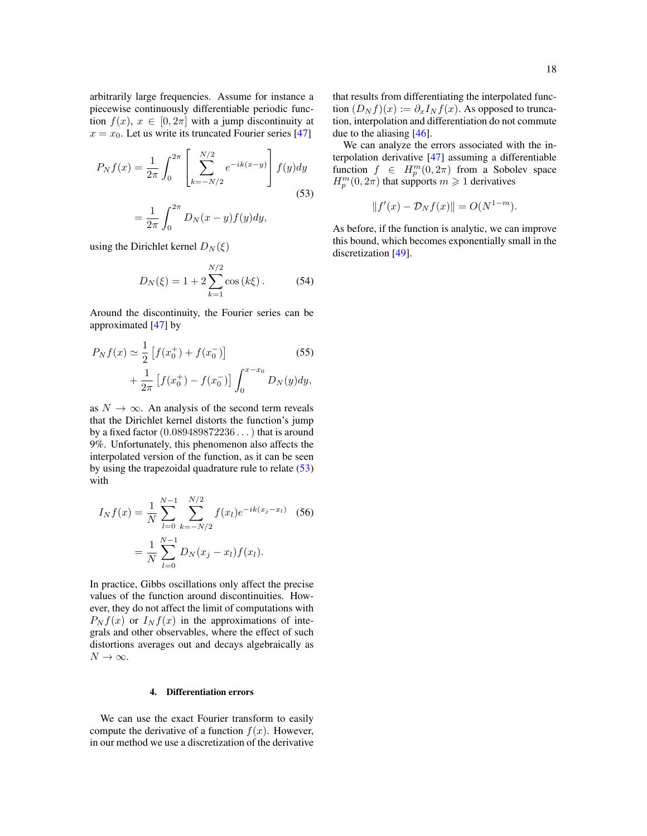arbitrarily large frequencies. Assume for instance a piecewise continuously differentiable periodic function  $f(x)$ ,  $x \in [0, 2\pi]$  with a jump discontinuity at  $x = x_0$ . Let us write its truncated Fourier series [\[47\]](#page-20-30)

$$
P_N f(x) = \frac{1}{2\pi} \int_0^{2\pi} \left[ \sum_{k=-N/2}^{N/2} e^{-ik(x-y)} \right] f(y) dy
$$
  
=  $\frac{1}{2\pi} \int_0^{2\pi} D_N(x-y) f(y) dy,$  (53)

using the Dirichlet kernel  $D_N(\xi)$ 

$$
D_N(\xi) = 1 + 2 \sum_{k=1}^{N/2} \cos(k\xi).
$$
 (54)

Around the discontinuity, the Fourier series can be approximated [\[47\]](#page-20-30) by

$$
P_N f(x) \simeq \frac{1}{2} \left[ f(x_0^+) + f(x_0^-) \right]
$$
(55)  
 
$$
+ \frac{1}{2\pi} \left[ f(x_0^+) - f(x_0^-) \right] \int_0^{x - x_0} D_N(y) dy,
$$

as  $N \to \infty$ . An analysis of the second term reveals that the Dirichlet kernel distorts the function's jump by a fixed factor  $(0.089489872236...)$  that is around 9%. Unfortunately, this phenomenon also affects the interpolated version of the function, as it can be seen by using the trapezoidal quadrature rule to relate [\(53\)](#page-17-0) with

$$
I_N f(x) = \frac{1}{N} \sum_{l=0}^{N-1} \sum_{k=-N/2}^{N/2} f(x_l) e^{-ik(x_j - x_l)}
$$
(56)  
= 
$$
\frac{1}{N} \sum_{l=0}^{N-1} D_N(x_j - x_l) f(x_l).
$$

In practice, Gibbs oscillations only affect the precise values of the function around discontinuities. However, they do not affect the limit of computations with  $P_N f(x)$  or  $I_N f(x)$  in the approximations of integrals and other observables, where the effect of such distortions averages out and decays algebraically as  $N \to \infty$ .

# 4. Differentiation errors

We can use the exact Fourier transform to easily compute the derivative of a function  $f(x)$ . However, in our method we use a discretization of the derivative that results from differentiating the interpolated function  $(D_N f)(x) := \partial_x I_N f(x)$ . As opposed to truncation, interpolation and differentiation do not commute due to the aliasing [\[46\]](#page-20-29).

<span id="page-17-0"></span>We can analyze the errors associated with the interpolation derivative [\[47\]](#page-20-30) assuming a differentiable function  $f \in H_p^m(0, 2\pi)$  from a Sobolev space  $H_p^m(0, 2\pi)$  that supports  $m \geq 1$  derivatives

$$
||f'(x) - \mathcal{D}_N f(x)|| = O(N^{1-m}).
$$

As before, if the function is analytic, we can improve this bound, which becomes exponentially small in the discretization [\[49\]](#page-20-32).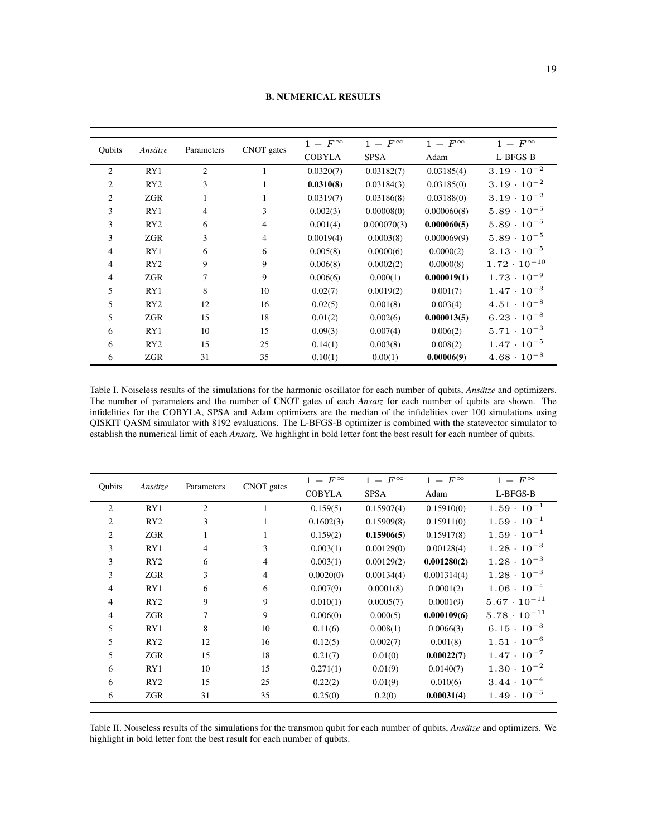| Qubits         | Ansätze | Parameters     | CNOT gates     | $1$ – $F^\infty$ | $1$ $ F^{\infty}$ | $1-F^{\infty}$ | $1-F^{\infty}$        |
|----------------|---------|----------------|----------------|------------------|-------------------|----------------|-----------------------|
|                |         |                |                | <b>COBYLA</b>    | <b>SPSA</b>       | Adam           | L-BFGS-B              |
| 2              | RY1     | 2              | 1              | 0.0320(7)        | 0.03182(7)        | 0.03185(4)     | $3.19 \cdot 10^{-2}$  |
| 2              | RY2     | 3              | 1              | 0.0310(8)        | 0.03184(3)        | 0.03185(0)     | $3.19 \cdot 10^{-2}$  |
| $\overline{c}$ | ZGR     | 1              | 1              | 0.0319(7)        | 0.03186(8)        | 0.03188(0)     | $3.19 \cdot 10^{-2}$  |
| 3              | RY1     | $\overline{4}$ | 3              | 0.002(3)         | 0.00008(0)        | 0.000060(8)    | $5.89 \cdot 10^{-5}$  |
| 3              | RY2     | 6              | $\overline{4}$ | 0.001(4)         | 0.000070(3)       | 0.000060(5)    | $5.89 \cdot 10^{-5}$  |
| 3              | ZGR     | 3              | $\overline{4}$ | 0.0019(4)        | 0.0003(8)         | 0.000069(9)    | $5.89 \cdot 10^{-5}$  |
| 4              | RY1     | 6              | 6              | 0.005(8)         | 0.0000(6)         | 0.0000(2)      | $2.13 \cdot 10^{-5}$  |
| 4              | RY2     | 9              | 9              | 0.006(8)         | 0.0002(2)         | 0.0000(8)      | $1.72 \cdot 10^{-10}$ |
| 4              | ZGR     | 7              | 9              | 0.006(6)         | 0.000(1)          | 0.000019(1)    | $1.73 \cdot 10^{-9}$  |
| 5              | RY1     | 8              | 10             | 0.02(7)          | 0.0019(2)         | 0.001(7)       | $1.47 \cdot 10^{-3}$  |
| 5              | RY2     | 12             | 16             | 0.02(5)          | 0.001(8)          | 0.003(4)       | $4.51 \cdot 10^{-8}$  |
| 5              | ZGR     | 15             | 18             | 0.01(2)          | 0.002(6)          | 0.000013(5)    | $6.23 \cdot 10^{-8}$  |
| 6              | RY1     | 10             | 15             | 0.09(3)          | 0.007(4)          | 0.006(2)       | $5.71 \cdot 10^{-3}$  |
| 6              | RY2     | 15             | 25             | 0.14(1)          | 0.003(8)          | 0.008(2)       | $1.47 \cdot 10^{-5}$  |
| 6              | ZGR     | 31             | 35             | 0.10(1)          | 0.00(1)           | 0.00006(9)     | $4.68 \cdot 10^{-8}$  |

B. NUMERICAL RESULTS

<span id="page-18-0"></span>Table I. Noiseless results of the simulations for the harmonic oscillator for each number of qubits, *Ansätze* and optimizers. The number of parameters and the number of CNOT gates of each *Ansatz* for each number of qubits are shown. The infidelities for the COBYLA, SPSA and Adam optimizers are the median of the infidelities over 100 simulations using QISKIT QASM simulator with 8192 evaluations. The L-BFGS-B optimizer is combined with the statevector simulator to establish the numerical limit of each *Ansatz*. We highlight in bold letter font the best result for each number of qubits.

| Qubits         | Ansätze         | Parameters     | CNOT gates   | $1-F^{\infty}$ | $1-F^{\infty}$ | $1-F^{\infty}$ | $1-F^{\infty}$        |
|----------------|-----------------|----------------|--------------|----------------|----------------|----------------|-----------------------|
|                |                 |                |              | <b>COBYLA</b>  | <b>SPSA</b>    | Adam           | L-BFGS-B              |
| $\overline{2}$ | RY1             | 2              |              | 0.159(5)       | 0.15907(4)     | 0.15910(0)     | $1.59 \cdot 10^{-1}$  |
| $\overline{c}$ | RY2             | 3              | 1            | 0.1602(3)      | 0.15909(8)     | 0.15911(0)     | $1.59 \cdot 10^{-1}$  |
| 2              | ZGR             | $\mathbf{1}$   | $\mathbf{1}$ | 0.159(2)       | 0.15906(5)     | 0.15917(8)     | $1.59 \cdot 10^{-1}$  |
| 3              | RY1             | $\overline{4}$ | 3            | 0.003(1)       | 0.00129(0)     | 0.00128(4)     | $1.28 \cdot 10^{-3}$  |
| 3              | RY <sub>2</sub> | 6              | 4            | 0.003(1)       | 0.00129(2)     | 0.001280(2)    | $1.28 \cdot 10^{-3}$  |
| 3              | ZGR             | 3              | 4            | 0.0020(0)      | 0.00134(4)     | 0.001314(4)    | $1.28 \cdot 10^{-3}$  |
| 4              | RY1             | 6              | 6            | 0.007(9)       | 0.0001(8)      | 0.0001(2)      | $1.06 \cdot 10^{-4}$  |
| 4              | RY2             | 9              | 9            | 0.010(1)       | 0.0005(7)      | 0.0001(9)      | $5.67 \cdot 10^{-11}$ |
| 4              | ZGR             | 7              | 9            | 0.006(0)       | 0.000(5)       | 0.000109(6)    | $5.78 \cdot 10^{-11}$ |
| 5              | RY1             | 8              | 10           | 0.11(6)        | 0.008(1)       | 0.0066(3)      | $6.15 \cdot 10^{-3}$  |
| 5              | RY2             | 12             | 16           | 0.12(5)        | 0.002(7)       | 0.001(8)       | $1.51 \cdot 10^{-6}$  |
| 5              | ZGR             | 15             | 18           | 0.21(7)        | 0.01(0)        | 0.00022(7)     | $1.47 \cdot 10^{-7}$  |
| 6              | RY1             | 10             | 15           | 0.271(1)       | 0.01(9)        | 0.0140(7)      | $1.30 \cdot 10^{-2}$  |
| 6              | RY <sub>2</sub> | 15             | 25           | 0.22(2)        | 0.01(9)        | 0.010(6)       | $3.44 \cdot 10^{-4}$  |
| 6              | ZGR             | 31             | 35           | 0.25(0)        | 0.2(0)         | 0.00031(4)     | $1.49 \cdot 10^{-5}$  |

<span id="page-18-1"></span>Table II. Noiseless results of the simulations for the transmon qubit for each number of qubits, *Ansätze* and optimizers. We highlight in bold letter font the best result for each number of qubits.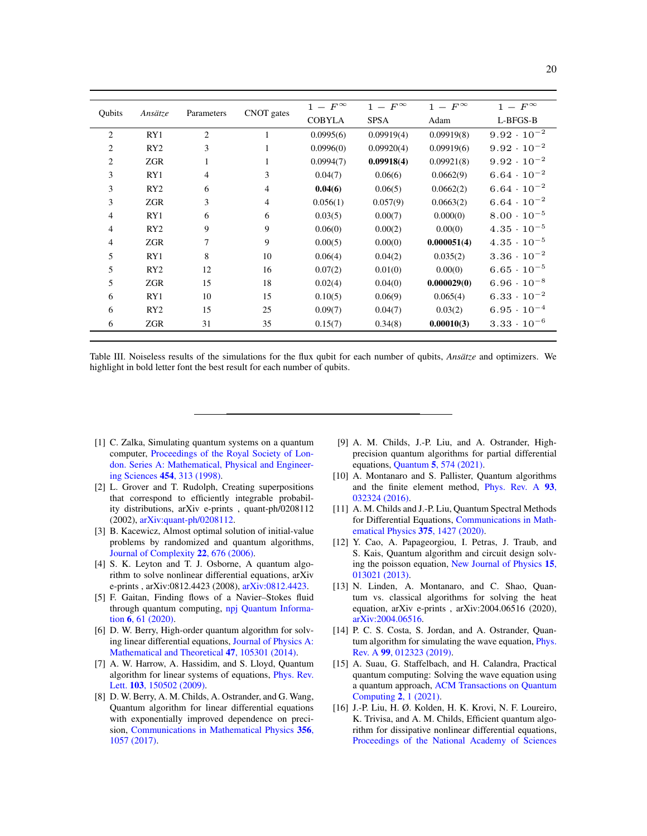| Qubits         | Ansätze         | Parameters     | CNOT gates     | $1-F^{\infty}$ | $1-F^{\infty}$ | $1-F^{\infty}$ | $1-F^{\infty}$       |
|----------------|-----------------|----------------|----------------|----------------|----------------|----------------|----------------------|
|                |                 |                |                | <b>COBYLA</b>  | <b>SPSA</b>    | Adam           | L-BFGS-B             |
| $\overline{2}$ | RY1             | 2              | 1              | 0.0995(6)      | 0.09919(4)     | 0.09919(8)     | $9.92 \cdot 10^{-2}$ |
| $\overline{c}$ | RY2             | 3              | 1              | 0.0996(0)      | 0.09920(4)     | 0.09919(6)     | $9.92 \cdot 10^{-2}$ |
| $\overline{2}$ | ZGR             | 1              | 1              | 0.0994(7)      | 0.09918(4)     | 0.09921(8)     | $9.92 \cdot 10^{-2}$ |
| 3              | RY1             | $\overline{4}$ | 3              | 0.04(7)        | 0.06(6)        | 0.0662(9)      | $6.64 \cdot 10^{-2}$ |
| 3              | RY2             | 6              | $\overline{4}$ | 0.04(6)        | 0.06(5)        | 0.0662(2)      | $6.64 \cdot 10^{-2}$ |
| 3              | ZGR             | 3              | $\overline{4}$ | 0.056(1)       | 0.057(9)       | 0.0663(2)      | $6.64 \cdot 10^{-2}$ |
| 4              | RY1             | 6              | 6              | 0.03(5)        | 0.00(7)        | 0.000(0)       | $8.00 \cdot 10^{-5}$ |
| 4              | RY2             | 9              | 9              | 0.06(0)        | 0.00(2)        | 0.00(0)        | $4.35 \cdot 10^{-5}$ |
| 4              | ZGR             | $\tau$         | 9              | 0.00(5)        | 0.00(0)        | 0.000051(4)    | $4.35 \cdot 10^{-5}$ |
| 5              | RY1             | 8              | 10             | 0.06(4)        | 0.04(2)        | 0.035(2)       | $3.36 \cdot 10^{-2}$ |
| 5              | RY <sub>2</sub> | 12             | 16             | 0.07(2)        | 0.01(0)        | 0.00(0)        | $6.65 \cdot 10^{-5}$ |
| 5              | ZGR             | 15             | 18             | 0.02(4)        | 0.04(0)        | 0.000029(0)    | $6.96 \cdot 10^{-8}$ |
| 6              | RY1             | 10             | 15             | 0.10(5)        | 0.06(9)        | 0.065(4)       | $6.33 \cdot 10^{-2}$ |
| 6              | RY2             | 15             | 25             | 0.09(7)        | 0.04(7)        | 0.03(2)        | $6.95 \cdot 10^{-4}$ |
| 6              | ZGR             | 31             | 35             | 0.15(7)        | 0.34(8)        | 0.00010(3)     | $3.33 \cdot 10^{-6}$ |
|                |                 |                |                |                |                |                |                      |

<span id="page-19-16"></span>Table III. Noiseless results of the simulations for the flux qubit for each number of qubits, *Ansätze* and optimizers. We highlight in bold letter font the best result for each number of qubits.

- <span id="page-19-0"></span>[1] C. Zalka, Simulating quantum systems on a quantum computer, [Proceedings of the Royal Society of Lon](https://doi.org/10.1098/rspa.1998.0162)[don. Series A: Mathematical, Physical and Engineer](https://doi.org/10.1098/rspa.1998.0162)ing Sciences 454[, 313 \(1998\).](https://doi.org/10.1098/rspa.1998.0162)
- <span id="page-19-1"></span>[2] L. Grover and T. Rudolph, Creating superpositions that correspond to efficiently integrable probability distributions, arXiv e-prints , quant-ph/0208112 (2002), [arXiv:quant-ph/0208112.](https://arxiv.org/abs/quant-ph/0208112)
- <span id="page-19-2"></span>[3] B. Kacewicz, Almost optimal solution of initial-value problems by randomized and quantum algorithms, [Journal of Complexity](https://doi.org/10.1016/j.jco.2006.03.001) 22, 676 (2006).
- <span id="page-19-3"></span>[4] S. K. Leyton and T. J. Osborne, A quantum algorithm to solve nonlinear differential equations, arXiv e-prints, arXiv:0812.4423 (2008), [arXiv:0812.4423.](https://arxiv.org/abs/0812.4423)
- <span id="page-19-4"></span>[5] F. Gaitan, Finding flows of a Navier–Stokes fluid through quantum computing, [npj Quantum Informa](https://doi.org/10.1038/s41534-020-00291-0)tion 6[, 61 \(2020\).](https://doi.org/10.1038/s41534-020-00291-0)
- <span id="page-19-5"></span>[6] D. W. Berry, High-order quantum algorithm for solving linear differential equations, [Journal of Physics A:](https://doi.org/10.1088/1751-8113/47/10/105301) [Mathematical and Theoretical](https://doi.org/10.1088/1751-8113/47/10/105301) 47, 105301 (2014).
- <span id="page-19-6"></span>[7] A. W. Harrow, A. Hassidim, and S. Lloyd, Quantum algorithm for linear systems of equations, [Phys. Rev.](https://doi.org/10.1103/PhysRevLett.103.150502) Lett. **103**[, 150502 \(2009\).](https://doi.org/10.1103/PhysRevLett.103.150502)
- <span id="page-19-7"></span>[8] D. W. Berry, A. M. Childs, A. Ostrander, and G. Wang, Quantum algorithm for linear differential equations with exponentially improved dependence on precision, [Communications in Mathematical Physics](https://doi.org/10.1007/s00220-017-3002-y) 356, [1057 \(2017\).](https://doi.org/10.1007/s00220-017-3002-y)
- <span id="page-19-8"></span>[9] A. M. Childs, J.-P. Liu, and A. Ostrander, Highprecision quantum algorithms for partial differential equations, Quantum 5[, 574 \(2021\).](https://doi.org/10.22331/q-2021-11-10-574)
- <span id="page-19-9"></span>[10] A. Montanaro and S. Pallister, Quantum algorithms and the finite element method, [Phys. Rev. A](https://doi.org/10.1103/PhysRevA.93.032324) 93, [032324 \(2016\).](https://doi.org/10.1103/PhysRevA.93.032324)
- <span id="page-19-10"></span>[11] A. M. Childs and J.-P. Liu, Quantum Spectral Methods for Differential Equations, [Communications in Math](https://doi.org/10.1007/s00220-020-03699-z)[ematical Physics](https://doi.org/10.1007/s00220-020-03699-z) 375, 1427 (2020).
- <span id="page-19-11"></span>[12] Y. Cao, A. Papageorgiou, I. Petras, J. Traub, and S. Kais, Quantum algorithm and circuit design solving the poisson equation, [New Journal of Physics](https://doi.org/10.1088/1367-2630/15/1/013021) 15, [013021 \(2013\).](https://doi.org/10.1088/1367-2630/15/1/013021)
- <span id="page-19-12"></span>[13] N. Linden, A. Montanaro, and C. Shao, Quantum vs. classical algorithms for solving the heat equation, arXiv e-prints , arXiv:2004.06516 (2020), [arXiv:2004.06516.](https://arxiv.org/abs/2004.06516)
- <span id="page-19-13"></span>[14] P. C. S. Costa, S. Jordan, and A. Ostrander, Quantum algorithm for simulating the wave equation, *[Phys.](https://doi.org/10.1103/PhysRevA.99.012323)* Rev. A 99[, 012323 \(2019\).](https://doi.org/10.1103/PhysRevA.99.012323)
- <span id="page-19-14"></span>[15] A. Suau, G. Staffelbach, and H. Calandra, Practical quantum computing: Solving the wave equation using a quantum approach, [ACM Transactions on Quantum](https://doi.org/10.1145/3430030) [Computing](https://doi.org/10.1145/3430030) 2, 1 (2021).
- <span id="page-19-15"></span>[16] J.-P. Liu, H. Ø. Kolden, H. K. Krovi, N. F. Loureiro, K. Trivisa, and A. M. Childs, Efficient quantum algorithm for dissipative nonlinear differential equations, [Proceedings of the National Academy of Sciences](https://doi.org/10.1073/pnas.2026805118)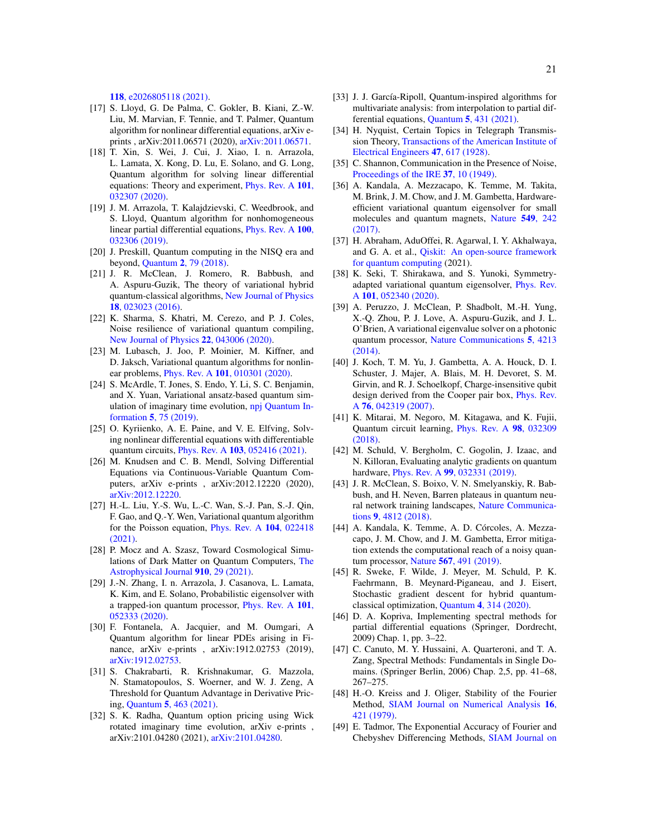118[, e2026805118 \(2021\).](https://doi.org/10.1073/pnas.2026805118)

- <span id="page-20-0"></span>[17] S. Lloyd, G. De Palma, C. Gokler, B. Kiani, Z.-W. Liu, M. Marvian, F. Tennie, and T. Palmer, Quantum algorithm for nonlinear differential equations, arXiv eprints , arXiv:2011.06571 (2020), [arXiv:2011.06571.](https://arxiv.org/abs/2011.06571)
- <span id="page-20-1"></span>[18] T. Xin, S. Wei, J. Cui, J. Xiao, I. n. Arrazola, L. Lamata, X. Kong, D. Lu, E. Solano, and G. Long, Quantum algorithm for solving linear differential equations: Theory and experiment, [Phys. Rev. A](https://doi.org/10.1103/PhysRevA.101.032307) 101, [032307 \(2020\).](https://doi.org/10.1103/PhysRevA.101.032307)
- <span id="page-20-2"></span>[19] J. M. Arrazola, T. Kalajdzievski, C. Weedbrook, and S. Lloyd, Quantum algorithm for nonhomogeneous linear partial differential equations, [Phys. Rev. A](https://doi.org/10.1103/PhysRevA.100.032306) 100, [032306 \(2019\).](https://doi.org/10.1103/PhysRevA.100.032306)
- <span id="page-20-3"></span>[20] J. Preskill, Quantum computing in the NISQ era and beyond, Quantum 2[, 79 \(2018\).](https://doi.org/10.22331/q-2018-08-06-79)
- <span id="page-20-4"></span>[21] J. R. McClean, J. Romero, R. Babbush, and A. Aspuru-Guzik, The theory of variational hybrid quantum-classical algorithms, [New Journal of Physics](https://doi.org/10.1088/1367-2630/18/2/023023) 18[, 023023 \(2016\).](https://doi.org/10.1088/1367-2630/18/2/023023)
- <span id="page-20-5"></span>[22] K. Sharma, S. Khatri, M. Cerezo, and P. J. Coles, Noise resilience of variational quantum compiling, [New Journal of Physics](https://doi.org/10.1088/1367-2630/ab784c) 22, 043006 (2020).
- <span id="page-20-6"></span>[23] M. Lubasch, J. Joo, P. Moinier, M. Kiffner, and D. Jaksch, Variational quantum algorithms for nonlinear problems, *Phys. Rev. A* **101**[, 010301 \(2020\).](https://doi.org/10.1103/PhysRevA.101.010301)
- <span id="page-20-7"></span>[24] S. McArdle, T. Jones, S. Endo, Y. Li, S. C. Benjamin, and X. Yuan, Variational ansatz-based quantum simulation of imaginary time evolution, [npj Quantum In](https://doi.org/10.1038/s41534-019-0187-2)formation 5[, 75 \(2019\).](https://doi.org/10.1038/s41534-019-0187-2)
- <span id="page-20-8"></span>[25] O. Kyriienko, A. E. Paine, and V. E. Elfving, Solving nonlinear differential equations with differentiable quantum circuits, *Phys. Rev. A* **103**[, 052416 \(2021\).](https://doi.org/10.1103/PhysRevA.103.052416)
- <span id="page-20-9"></span>[26] M. Knudsen and C. B. Mendl, Solving Differential Equations via Continuous-Variable Quantum Computers, arXiv e-prints , arXiv:2012.12220 (2020), [arXiv:2012.12220.](https://arxiv.org/abs/2012.12220)
- <span id="page-20-10"></span>[27] H.-L. Liu, Y.-S. Wu, L.-C. Wan, S.-J. Pan, S.-J. Qin, F. Gao, and Q.-Y. Wen, Variational quantum algorithm for the Poisson equation, [Phys. Rev. A](https://doi.org/10.1103/PhysRevA.104.022418) 104, 022418 [\(2021\).](https://doi.org/10.1103/PhysRevA.104.022418)
- <span id="page-20-11"></span>[28] P. Mocz and A. Szasz, Toward Cosmological Simulations of Dark Matter on Quantum Computers, [The](https://doi.org/10.3847/1538-4357/abe6ac) [Astrophysical Journal](https://doi.org/10.3847/1538-4357/abe6ac) 910, 29 (2021).
- <span id="page-20-12"></span>[29] J.-N. Zhang, I. n. Arrazola, J. Casanova, L. Lamata, K. Kim, and E. Solano, Probabilistic eigensolver with a trapped-ion quantum processor, [Phys. Rev. A](https://doi.org/10.1103/PhysRevA.101.052333) 101, [052333 \(2020\).](https://doi.org/10.1103/PhysRevA.101.052333)
- <span id="page-20-13"></span>[30] F. Fontanela, A. Jacquier, and M. Oumgari, A Quantum algorithm for linear PDEs arising in Finance, arXiv e-prints , arXiv:1912.02753 (2019), [arXiv:1912.02753.](https://arxiv.org/abs/1912.02753)
- <span id="page-20-22"></span>[31] S. Chakrabarti, R. Krishnakumar, G. Mazzola, N. Stamatopoulos, S. Woerner, and W. J. Zeng, A Threshold for Quantum Advantage in Derivative Pricing, Quantum 5[, 463 \(2021\).](https://doi.org/10.22331/q-2021-06-01-463)
- <span id="page-20-14"></span>[32] S. K. Radha, Quantum option pricing using Wick rotated imaginary time evolution, arXiv e-prints , arXiv:2101.04280 (2021), [arXiv:2101.04280.](https://arxiv.org/abs/2101.04280)
- <span id="page-20-15"></span>[33] J. J. García-Ripoll, Quantum-inspired algorithms for multivariate analysis: from interpolation to partial differential equations, Quantum 5[, 431 \(2021\).](https://doi.org/10.22331/q-2021-04-15-431)
- <span id="page-20-16"></span>[34] H. Nyquist, Certain Topics in Telegraph Transmission Theory, [Transactions of the American Institute of](https://doi.org/10.1109/t-aiee.1928.5055024) [Electrical Engineers](https://doi.org/10.1109/t-aiee.1928.5055024) 47, 617 (1928).
- <span id="page-20-17"></span>[35] C. Shannon, Communication in the Presence of Noise, [Proceedings of the IRE](https://doi.org/10.1109/jrproc.1949.232969) 37, 10 (1949).
- <span id="page-20-18"></span>[36] A. Kandala, A. Mezzacapo, K. Temme, M. Takita, M. Brink, J. M. Chow, and J. M. Gambetta, Hardwareefficient variational quantum eigensolver for small molecules and quantum magnets, [Nature](https://doi.org/10.1038/nature23879) 549, 242 [\(2017\).](https://doi.org/10.1038/nature23879)
- <span id="page-20-19"></span>[37] H. Abraham, AduOffei, R. Agarwal, I. Y. Akhalwaya, and G. A. et al., [Qiskit: An open-source framework](https://doi.org/10.5281/zenodo.2573505) [for quantum computing](https://doi.org/10.5281/zenodo.2573505) (2021).
- <span id="page-20-20"></span>[38] K. Seki, T. Shirakawa, and S. Yunoki, Symmetryadapted variational quantum eigensolver, [Phys. Rev.](https://doi.org/10.1103/PhysRevA.101.052340) A 101[, 052340 \(2020\).](https://doi.org/10.1103/PhysRevA.101.052340)
- <span id="page-20-21"></span>[39] A. Peruzzo, J. McClean, P. Shadbolt, M.-H. Yung, X.-Q. Zhou, P. J. Love, A. Aspuru-Guzik, and J. L. O'Brien, A variational eigenvalue solver on a photonic quantum processor, [Nature Communications](https://doi.org/10.1038/ncomms5213) 5, 4213 [\(2014\).](https://doi.org/10.1038/ncomms5213)
- <span id="page-20-23"></span>[40] J. Koch, T. M. Yu, J. Gambetta, A. A. Houck, D. I. Schuster, J. Majer, A. Blais, M. H. Devoret, S. M. Girvin, and R. J. Schoelkopf, Charge-insensitive qubit design derived from the Cooper pair box, [Phys. Rev.](https://doi.org/10.1103/PhysRevA.76.042319) A 76[, 042319 \(2007\).](https://doi.org/10.1103/PhysRevA.76.042319)
- <span id="page-20-24"></span>[41] K. Mitarai, M. Negoro, M. Kitagawa, and K. Fujii, Quantum circuit learning, [Phys. Rev. A](https://doi.org/10.1103/PhysRevA.98.032309) 98, 032309 [\(2018\).](https://doi.org/10.1103/PhysRevA.98.032309)
- <span id="page-20-25"></span>[42] M. Schuld, V. Bergholm, C. Gogolin, J. Izaac, and N. Killoran, Evaluating analytic gradients on quantum hardware, Phys. Rev. A 99[, 032331 \(2019\).](https://doi.org/10.1103/PhysRevA.99.032331)
- <span id="page-20-26"></span>[43] J. R. McClean, S. Boixo, V. N. Smelyanskiy, R. Babbush, and H. Neven, Barren plateaus in quantum neural network training landscapes, [Nature Communica](https://doi.org/10.1038/s41467-018-07090-4)tions 9[, 4812 \(2018\).](https://doi.org/10.1038/s41467-018-07090-4)
- <span id="page-20-27"></span>[44] A. Kandala, K. Temme, A. D. Córcoles, A. Mezzacapo, J. M. Chow, and J. M. Gambetta, Error mitigation extends the computational reach of a noisy quantum processor, Nature 567[, 491 \(2019\).](https://doi.org/10.1038/s41586-019-1040-7)
- <span id="page-20-28"></span>[45] R. Sweke, F. Wilde, J. Meyer, M. Schuld, P. K. Faehrmann, B. Meynard-Piganeau, and J. Eisert, Stochastic gradient descent for hybrid quantumclassical optimization, Quantum 4[, 314 \(2020\).](https://doi.org/10.22331/q-2020-08-31-314)
- <span id="page-20-29"></span>[46] D. A. Kopriva, Implementing spectral methods for partial differential equations (Springer, Dordrecht, 2009) Chap. 1, pp. 3–22.
- <span id="page-20-30"></span>[47] C. Canuto, M. Y. Hussaini, A. Quarteroni, and T. A. Zang, Spectral Methods: Fundamentals in Single Domains. (Springer Berlin, 2006) Chap. 2,5, pp. 41–68, 267–275.
- <span id="page-20-31"></span>[48] H.-O. Kreiss and J. Oliger, Stability of the Fourier Method, [SIAM Journal on Numerical Analysis](https://doi.org/10.1137/0716035) 16, [421 \(1979\).](https://doi.org/10.1137/0716035)
- <span id="page-20-32"></span>[49] E. Tadmor, The Exponential Accuracy of Fourier and Chebyshev Differencing Methods, [SIAM Journal on](https://doi.org/10.1137/0723001)